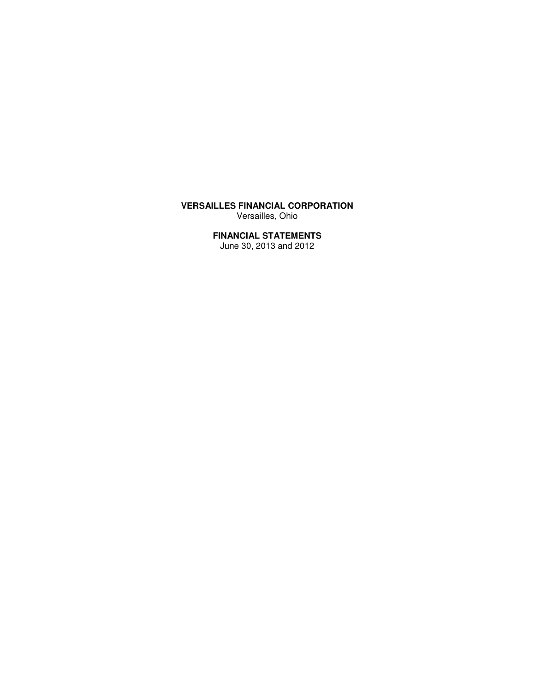# **VERSAILLES FINANCIAL CORPORATION**

Versailles, Ohio

# **FINANCIAL STATEMENTS**

June 30, 2013 and 2012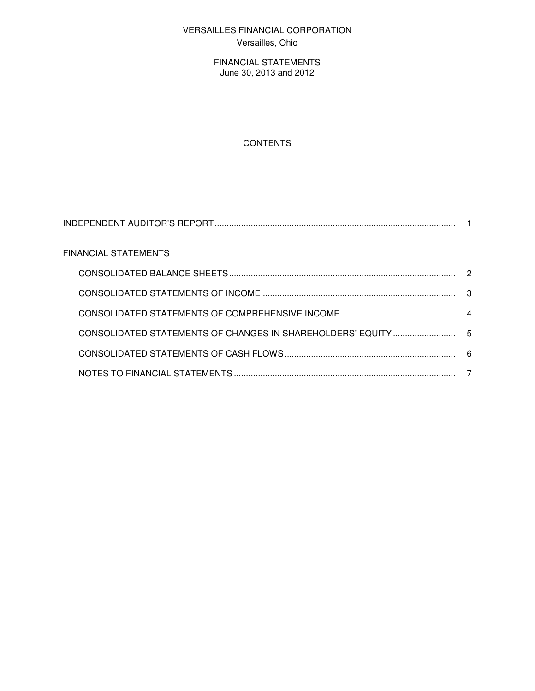# VERSAILLES FINANCIAL CORPORATION Versailles, Ohio

FINANCIAL STATEMENTS June 30, 2013 and 2012

# **CONTENTS**

| <b>FINANCIAL STATEMENTS</b> |   |
|-----------------------------|---|
|                             |   |
|                             | 3 |
|                             |   |
|                             |   |
|                             |   |
|                             |   |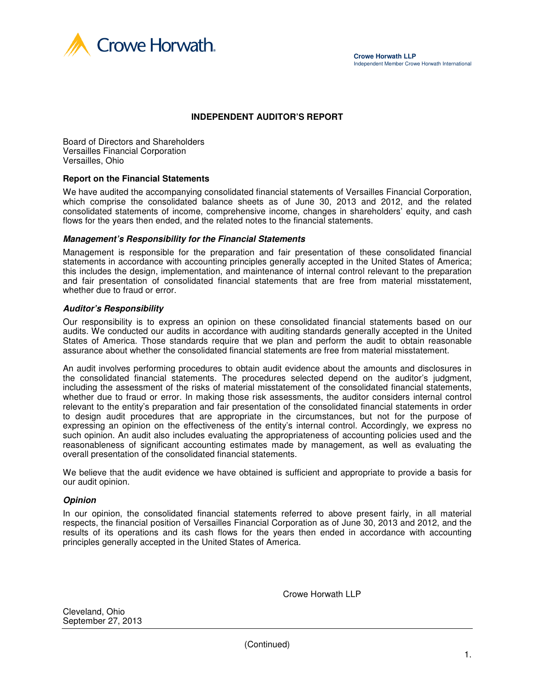

#### **INDEPENDENT AUDITOR'S REPORT**

Board of Directors and Shareholders Versailles Financial Corporation Versailles, Ohio

#### **Report on the Financial Statements**

We have audited the accompanying consolidated financial statements of Versailles Financial Corporation, which comprise the consolidated balance sheets as of June 30, 2013 and 2012, and the related consolidated statements of income, comprehensive income, changes in shareholders' equity, and cash flows for the years then ended, and the related notes to the financial statements.

#### **Management's Responsibility for the Financial Statements**

Management is responsible for the preparation and fair presentation of these consolidated financial statements in accordance with accounting principles generally accepted in the United States of America; this includes the design, implementation, and maintenance of internal control relevant to the preparation and fair presentation of consolidated financial statements that are free from material misstatement, whether due to fraud or error.

#### **Auditor's Responsibility**

Our responsibility is to express an opinion on these consolidated financial statements based on our audits. We conducted our audits in accordance with auditing standards generally accepted in the United States of America. Those standards require that we plan and perform the audit to obtain reasonable assurance about whether the consolidated financial statements are free from material misstatement.

An audit involves performing procedures to obtain audit evidence about the amounts and disclosures in the consolidated financial statements. The procedures selected depend on the auditor's judgment, including the assessment of the risks of material misstatement of the consolidated financial statements, whether due to fraud or error. In making those risk assessments, the auditor considers internal control relevant to the entity's preparation and fair presentation of the consolidated financial statements in order to design audit procedures that are appropriate in the circumstances, but not for the purpose of expressing an opinion on the effectiveness of the entity's internal control. Accordingly, we express no such opinion. An audit also includes evaluating the appropriateness of accounting policies used and the reasonableness of significant accounting estimates made by management, as well as evaluating the overall presentation of the consolidated financial statements.

We believe that the audit evidence we have obtained is sufficient and appropriate to provide a basis for our audit opinion.

#### **Opinion**

In our opinion, the consolidated financial statements referred to above present fairly, in all material respects, the financial position of Versailles Financial Corporation as of June 30, 2013 and 2012, and the results of its operations and its cash flows for the years then ended in accordance with accounting principles generally accepted in the United States of America.

Crowe Horwath LLP

Cleveland, Ohio September 27, 2013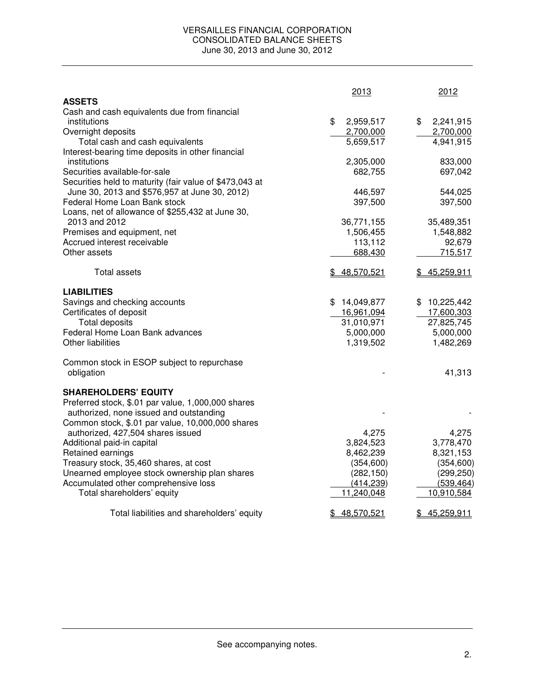#### VERSAILLES FINANCIAL CORPORATION CONSOLIDATED BALANCE SHEETS June 30, 2013 and June 30, 2012

|                                                            | 2013             | 2012            |
|------------------------------------------------------------|------------------|-----------------|
| <b>ASSETS</b>                                              |                  |                 |
| Cash and cash equivalents due from financial               |                  |                 |
| institutions                                               | \$<br>2,959,517  | \$<br>2,241,915 |
| Overnight deposits                                         | 2,700,000        | 2,700,000       |
| Total cash and cash equivalents                            | 5,659,517        | 4,941,915       |
| Interest-bearing time deposits in other financial          |                  |                 |
| institutions                                               | 2,305,000        | 833,000         |
| Securities available-for-sale                              | 682,755          | 697,042         |
| Securities held to maturity (fair value of \$473,043 at    |                  |                 |
| June 30, 2013 and \$576,957 at June 30, 2012)              | 446,597          | 544,025         |
| Federal Home Loan Bank stock                               | 397,500          | 397,500         |
| Loans, net of allowance of \$255,432 at June 30,           |                  |                 |
| 2013 and 2012                                              | 36,771,155       | 35,489,351      |
| Premises and equipment, net<br>Accrued interest receivable | 1,506,455        | 1,548,882       |
|                                                            | 113,112          | 92,679          |
| Other assets                                               | 688,430          | 715,517         |
| Total assets                                               | \$48,570,521     | \$45,259,911    |
| <b>LIABILITIES</b>                                         |                  |                 |
| Savings and checking accounts                              | \$14,049,877     | \$10,225,442    |
| Certificates of deposit                                    | 16,961,094       | 17,600,303      |
| <b>Total deposits</b>                                      | 31,010,971       | 27,825,745      |
| Federal Home Loan Bank advances                            | 5,000,000        | 5,000,000       |
| Other liabilities                                          | 1,319,502        | 1,482,269       |
|                                                            |                  |                 |
| Common stock in ESOP subject to repurchase                 |                  |                 |
| obligation                                                 |                  | 41,313          |
| <b>SHAREHOLDERS' EQUITY</b>                                |                  |                 |
| Preferred stock, \$.01 par value, 1,000,000 shares         |                  |                 |
| authorized, none issued and outstanding                    |                  |                 |
| Common stock, \$.01 par value, 10,000,000 shares           |                  |                 |
| authorized, 427,504 shares issued                          | 4,275            | 4,275           |
| Additional paid-in capital                                 | 3,824,523        | 3,778,470       |
| Retained earnings                                          | 8,462,239        | 8,321,153       |
| Treasury stock, 35,460 shares, at cost                     | (354, 600)       | (354, 600)      |
| Unearned employee stock ownership plan shares              | (282, 150)       | (299, 250)      |
| Accumulated other comprehensive loss                       | (414, 239)       | (539, 464)      |
| Total shareholders' equity                                 | 11,240,048       | 10,910,584      |
| Total liabilities and shareholders' equity                 | 48,570,521<br>\$ | \$45,259,911    |
|                                                            |                  |                 |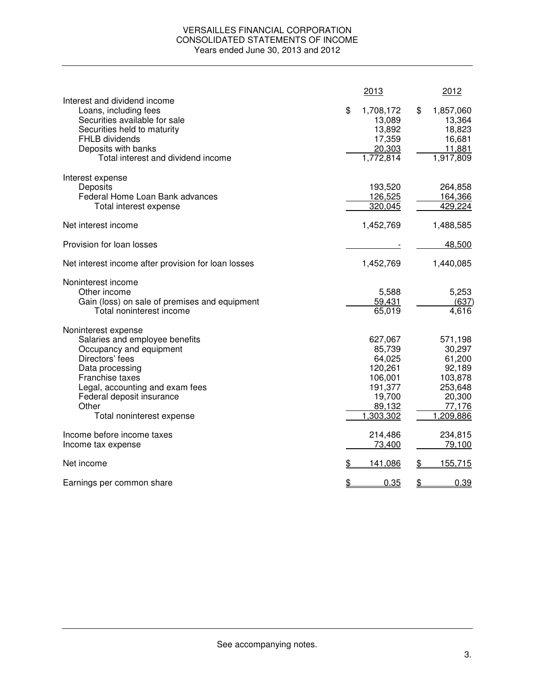### VERSAILLES FINANCIAL CORPORATION CONSOLIDATED STATEMENTS OF INCOME Years ended June 30, 2013 and 2012

|                                                                                                                                                                                                             |               | 2013                                                           |               | 2012                                                           |
|-------------------------------------------------------------------------------------------------------------------------------------------------------------------------------------------------------------|---------------|----------------------------------------------------------------|---------------|----------------------------------------------------------------|
| Interest and dividend income<br>Loans, including fees<br>Securities available for sale<br>Securities held to maturity<br><b>FHLB</b> dividends<br>Deposits with banks<br>Total interest and dividend income | \$            | 1,708,172<br>13,089<br>13,892<br>17,359<br>20,303<br>1,772,814 | \$            | 1,857,060<br>13,364<br>18,823<br>16,681<br>11,881<br>1,917,809 |
| Interest expense<br>Deposits<br>Federal Home Loan Bank advances<br>Total interest expense                                                                                                                   |               | 193,520<br>126,525<br>320,045                                  |               | 264,858<br>164,366<br>429,224                                  |
| Net interest income                                                                                                                                                                                         |               | 1,452,769                                                      |               | 1,488,585                                                      |
|                                                                                                                                                                                                             |               |                                                                |               |                                                                |
| Provision for loan losses                                                                                                                                                                                   |               |                                                                |               | 48,500                                                         |
| Net interest income after provision for loan losses                                                                                                                                                         |               | 1,452,769                                                      |               | 1,440,085                                                      |
| Noninterest income                                                                                                                                                                                          |               |                                                                |               |                                                                |
| Other income                                                                                                                                                                                                |               | 5,588                                                          |               | 5,253                                                          |
| Gain (loss) on sale of premises and equipment<br>Total noninterest income                                                                                                                                   |               | 59,431<br>65,019                                               |               | (637)<br>4,616                                                 |
| Noninterest expense                                                                                                                                                                                         |               |                                                                |               |                                                                |
| Salaries and employee benefits                                                                                                                                                                              |               | 627,067                                                        |               | 571,198                                                        |
| Occupancy and equipment<br>Directors' fees                                                                                                                                                                  |               | 85,739                                                         |               | 30,297                                                         |
| Data processing                                                                                                                                                                                             |               | 64,025<br>120,261                                              |               | 61,200<br>92,189                                               |
| Franchise taxes                                                                                                                                                                                             |               | 106,001                                                        |               | 103,878                                                        |
| Legal, accounting and exam fees                                                                                                                                                                             |               | 191,377                                                        |               | 253,648                                                        |
| Federal deposit insurance                                                                                                                                                                                   |               | 19,700                                                         |               | 20,300                                                         |
| Other                                                                                                                                                                                                       |               | 89,132                                                         |               | 77,176                                                         |
| Total noninterest expense                                                                                                                                                                                   |               | 1,303,302                                                      |               | 1,209,886                                                      |
| Income before income taxes                                                                                                                                                                                  |               | 214,486                                                        |               | 234,815                                                        |
| Income tax expense                                                                                                                                                                                          |               | 73,400                                                         |               | 79,100                                                         |
| Net income                                                                                                                                                                                                  | \$            | 141,086                                                        | $\frac{1}{2}$ | 155,715                                                        |
| Earnings per common share                                                                                                                                                                                   | $\frac{1}{2}$ | 0.35                                                           | \$            | 0.39                                                           |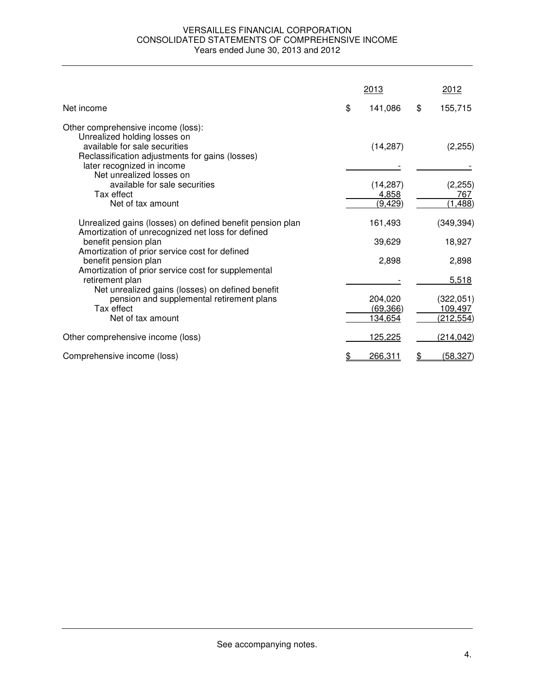#### VERSAILLES FINANCIAL CORPORATION CONSOLIDATED STATEMENTS OF COMPREHENSIVE INCOME Years ended June 30, 2013 and 2012

|                                                                                                                                                        | 2013                            | 2012                               |
|--------------------------------------------------------------------------------------------------------------------------------------------------------|---------------------------------|------------------------------------|
| Net income                                                                                                                                             | \$<br>141,086                   | \$<br>155,715                      |
| Other comprehensive income (loss):<br>Unrealized holding losses on<br>available for sale securities<br>Reclassification adjustments for gains (losses) | (14, 287)                       | (2,255)                            |
| later recognized in income<br>Net unrealized losses on                                                                                                 |                                 |                                    |
| available for sale securities<br>Tax effect<br>Net of tax amount                                                                                       | (14, 287)<br>4,858<br>(9, 429)  | (2,255)<br>767<br>(1, 488)         |
| Unrealized gains (losses) on defined benefit pension plan<br>Amortization of unrecognized net loss for defined                                         | 161,493                         | (349, 394)                         |
| benefit pension plan<br>Amortization of prior service cost for defined                                                                                 | 39,629                          | 18,927                             |
| benefit pension plan<br>Amortization of prior service cost for supplemental                                                                            | 2,898                           | 2,898                              |
| retirement plan<br>Net unrealized gains (losses) on defined benefit                                                                                    |                                 | 5,518                              |
| pension and supplemental retirement plans<br>Tax effect<br>Net of tax amount                                                                           | 204,020<br>(69, 366)<br>134,654 | (322,051)<br>109,497<br>(212, 554) |
| Other comprehensive income (loss)                                                                                                                      | <u>125,225</u>                  | (214, 042)                         |
| Comprehensive income (loss)                                                                                                                            | \$<br>266,311                   | \$<br>(58, 327)                    |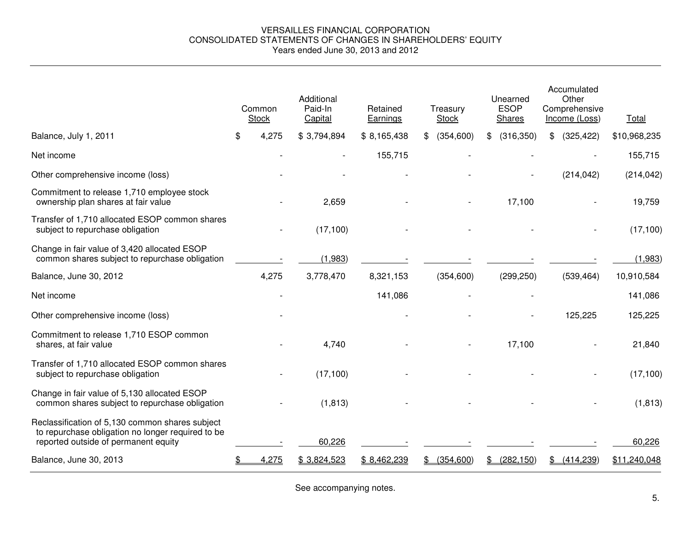#### VERSAILLES FINANCIAL CORPORATION CONSOLIDATED STATEMENTS OF CHANGES IN SHAREHOLDERS' EQUITY Years ended June 30, 2013 and 2012

|                                                                                                                                              |       | Common<br><b>Stock</b> | Additional<br>Paid-In<br>Capital | Retained<br>Earnings | Treasury<br><b>Stock</b> | Unearned<br><b>ESOP</b><br><b>Shares</b> | Accumulated<br>Other<br>Comprehensive<br>Income (Loss) | Total        |
|----------------------------------------------------------------------------------------------------------------------------------------------|-------|------------------------|----------------------------------|----------------------|--------------------------|------------------------------------------|--------------------------------------------------------|--------------|
| Balance, July 1, 2011                                                                                                                        | $\$\$ | 4,275                  | \$3,794,894                      | \$8,165,438          | \$<br>(354, 600)         | \$<br>(316, 350)                         | \$<br>(325, 422)                                       | \$10,968,235 |
| Net income                                                                                                                                   |       |                        |                                  | 155,715              |                          |                                          |                                                        | 155,715      |
| Other comprehensive income (loss)                                                                                                            |       |                        |                                  |                      |                          |                                          | (214, 042)                                             | (214, 042)   |
| Commitment to release 1,710 employee stock<br>ownership plan shares at fair value                                                            |       |                        | 2,659                            |                      |                          | 17,100                                   |                                                        | 19,759       |
| Transfer of 1.710 allocated ESOP common shares<br>subject to repurchase obligation                                                           |       |                        | (17, 100)                        |                      |                          |                                          |                                                        | (17, 100)    |
| Change in fair value of 3,420 allocated ESOP<br>common shares subject to repurchase obligation                                               |       |                        | (1,983)                          |                      |                          |                                          |                                                        | (1,983)      |
| Balance, June 30, 2012                                                                                                                       |       | 4,275                  | 3,778,470                        | 8,321,153            | (354, 600)               | (299, 250)                               | (539, 464)                                             | 10,910,584   |
| Net income                                                                                                                                   |       |                        |                                  | 141,086              |                          |                                          |                                                        | 141,086      |
| Other comprehensive income (loss)                                                                                                            |       |                        |                                  |                      |                          |                                          | 125,225                                                | 125,225      |
| Commitment to release 1,710 ESOP common<br>shares, at fair value                                                                             |       |                        | 4,740                            |                      |                          | 17,100                                   |                                                        | 21,840       |
| Transfer of 1,710 allocated ESOP common shares<br>subject to repurchase obligation                                                           |       |                        | (17, 100)                        |                      |                          |                                          |                                                        | (17, 100)    |
| Change in fair value of 5,130 allocated ESOP<br>common shares subject to repurchase obligation                                               |       |                        | (1, 813)                         |                      |                          |                                          |                                                        | (1, 813)     |
| Reclassification of 5,130 common shares subject<br>to repurchase obligation no longer required to be<br>reported outside of permanent equity |       |                        | 60,226                           |                      |                          |                                          |                                                        | 60,226       |
| Balance, June 30, 2013                                                                                                                       |       | 4,275                  | \$3,824,523                      | \$8,462,239          | \$ (354,600)             | \$<br>(282, 150)                         | \$<br>(414, 239)                                       | \$11,240,048 |

See accompanying notes.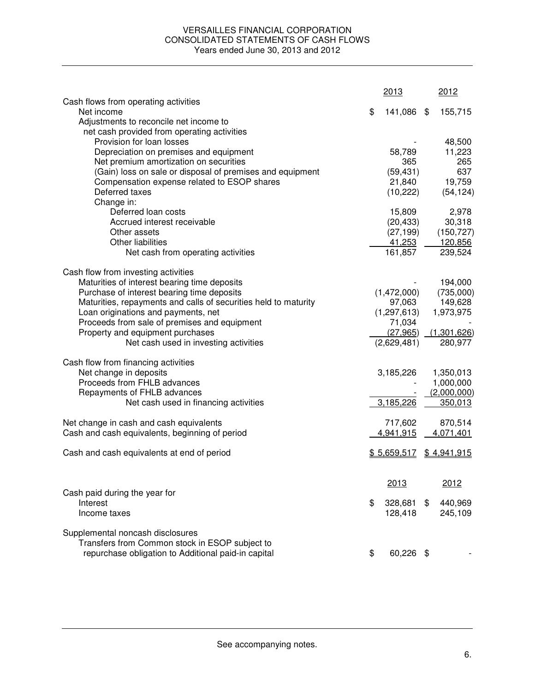### VERSAILLES FINANCIAL CORPORATION CONSOLIDATED STATEMENTS OF CASH FLOWS Years ended June 30, 2013 and 2012

|                                                                 | 2013             | 2012          |
|-----------------------------------------------------------------|------------------|---------------|
| Cash flows from operating activities                            |                  |               |
| Net income                                                      | \$<br>141,086 \$ | 155,715       |
| Adjustments to reconcile net income to                          |                  |               |
| net cash provided from operating activities                     |                  |               |
| Provision for loan losses                                       |                  | 48,500        |
| Depreciation on premises and equipment                          | 58,789           | 11,223        |
| Net premium amortization on securities                          | 365              | 265           |
| (Gain) loss on sale or disposal of premises and equipment       | (59, 431)        | 637           |
| Compensation expense related to ESOP shares                     | 21,840           | 19,759        |
| Deferred taxes                                                  | (10, 222)        | (54, 124)     |
| Change in:                                                      |                  |               |
| Deferred loan costs                                             | 15,809           | 2,978         |
| Accrued interest receivable                                     | (20, 433)        | 30,318        |
| Other assets                                                    | (27, 199)        | (150, 727)    |
| Other liabilities                                               | 41,253           | 120,856       |
| Net cash from operating activities                              | 161,857          | 239,524       |
| Cash flow from investing activities                             |                  |               |
| Maturities of interest bearing time deposits                    |                  | 194,000       |
| Purchase of interest bearing time deposits                      | (1,472,000)      | (735,000)     |
| Maturities, repayments and calls of securities held to maturity | 97,063           | 149,628       |
| Loan originations and payments, net                             | (1, 297, 613)    | 1,973,975     |
| Proceeds from sale of premises and equipment                    | 71,034           |               |
| Property and equipment purchases                                | (27, 965)        | (1,301,626)   |
| Net cash used in investing activities                           | (2,629,481)      | 280,977       |
|                                                                 |                  |               |
| Cash flow from financing activities                             |                  |               |
| Net change in deposits                                          | 3,185,226        | 1,350,013     |
| Proceeds from FHLB advances                                     |                  | 1,000,000     |
| Repayments of FHLB advances                                     |                  | (2,000,000)   |
| Net cash used in financing activities                           | 3,185,226        | 350,013       |
|                                                                 |                  |               |
| Net change in cash and cash equivalents                         | 717,602          | 870,514       |
| Cash and cash equivalents, beginning of period                  | 4,941,915        | 4,071,401     |
| Cash and cash equivalents at end of period                      | \$5,659,517      | \$4,941,915   |
|                                                                 |                  |               |
|                                                                 | 2013             | 2012          |
| Cash paid during the year for                                   |                  |               |
| Interest                                                        | \$<br>328,681    | \$<br>440,969 |
| Income taxes                                                    | 128,418          | 245,109       |
|                                                                 |                  |               |
| Supplemental noncash disclosures                                |                  |               |
| Transfers from Common stock in ESOP subject to                  |                  |               |
| repurchase obligation to Additional paid-in capital             | \$<br>60,226 \$  |               |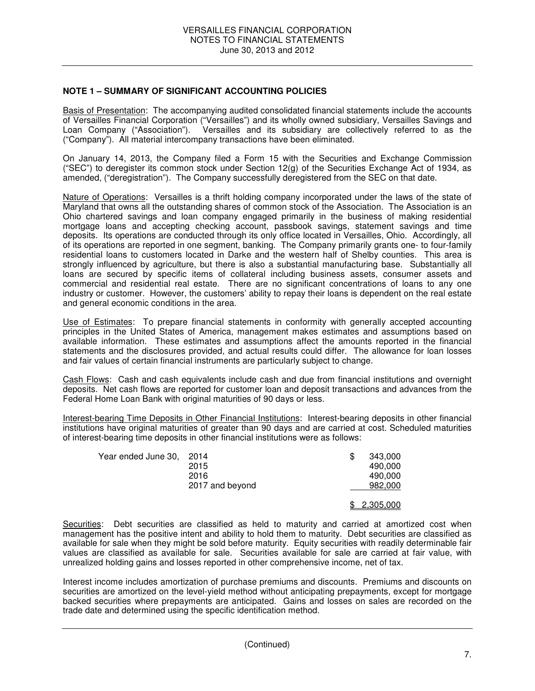### **NOTE 1 – SUMMARY OF SIGNIFICANT ACCOUNTING POLICIES**

Basis of Presentation: The accompanying audited consolidated financial statements include the accounts of Versailles Financial Corporation ("Versailles") and its wholly owned subsidiary, Versailles Savings and Loan Company ("Association"). Versailles and its subsidiary are collectively referred to as the Versailles and its subsidiary are collectively referred to as the ("Company"). All material intercompany transactions have been eliminated.

On January 14, 2013, the Company filed a Form 15 with the Securities and Exchange Commission ("SEC") to deregister its common stock under Section 12(g) of the Securities Exchange Act of 1934, as amended, ("deregistration"). The Company successfully deregistered from the SEC on that date.

Nature of Operations: Versailles is a thrift holding company incorporated under the laws of the state of Maryland that owns all the outstanding shares of common stock of the Association. The Association is an Ohio chartered savings and loan company engaged primarily in the business of making residential mortgage loans and accepting checking account, passbook savings, statement savings and time deposits. Its operations are conducted through its only office located in Versailles, Ohio. Accordingly, all of its operations are reported in one segment, banking. The Company primarily grants one- to four-family residential loans to customers located in Darke and the western half of Shelby counties. This area is strongly influenced by agriculture, but there is also a substantial manufacturing base. Substantially all loans are secured by specific items of collateral including business assets, consumer assets and commercial and residential real estate. There are no significant concentrations of loans to any one industry or customer. However, the customers' ability to repay their loans is dependent on the real estate and general economic conditions in the area.

Use of Estimates: To prepare financial statements in conformity with generally accepted accounting principles in the United States of America, management makes estimates and assumptions based on available information. These estimates and assumptions affect the amounts reported in the financial statements and the disclosures provided, and actual results could differ. The allowance for loan losses and fair values of certain financial instruments are particularly subject to change.

Cash Flows: Cash and cash equivalents include cash and due from financial institutions and overnight deposits. Net cash flows are reported for customer loan and deposit transactions and advances from the Federal Home Loan Bank with original maturities of 90 days or less.

Interest-bearing Time Deposits in Other Financial Institutions: Interest-bearing deposits in other financial institutions have original maturities of greater than 90 days and are carried at cost. Scheduled maturities of interest-bearing time deposits in other financial institutions were as follows:

| Year ended June 30, 2014 |                 | 343.000<br>S |
|--------------------------|-----------------|--------------|
|                          | 2015            | 490,000      |
|                          | 2016            | 490.000      |
|                          | 2017 and beyond | 982,000      |
|                          |                 |              |
|                          |                 | 2,305,000    |

Securities: Debt securities are classified as held to maturity and carried at amortized cost when management has the positive intent and ability to hold them to maturity. Debt securities are classified as available for sale when they might be sold before maturity. Equity securities with readily determinable fair values are classified as available for sale. Securities available for sale are carried at fair value, with unrealized holding gains and losses reported in other comprehensive income, net of tax.

Interest income includes amortization of purchase premiums and discounts. Premiums and discounts on securities are amortized on the level-yield method without anticipating prepayments, except for mortgage backed securities where prepayments are anticipated. Gains and losses on sales are recorded on the trade date and determined using the specific identification method.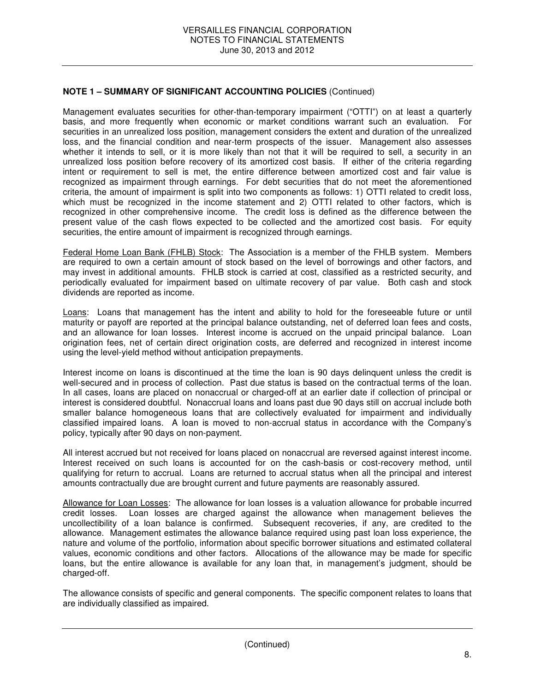## **NOTE 1 – SUMMARY OF SIGNIFICANT ACCOUNTING POLICIES** (Continued)

Management evaluates securities for other-than-temporary impairment ("OTTI") on at least a quarterly basis, and more frequently when economic or market conditions warrant such an evaluation. For securities in an unrealized loss position, management considers the extent and duration of the unrealized loss, and the financial condition and near-term prospects of the issuer. Management also assesses whether it intends to sell, or it is more likely than not that it will be required to sell, a security in an unrealized loss position before recovery of its amortized cost basis. If either of the criteria regarding intent or requirement to sell is met, the entire difference between amortized cost and fair value is recognized as impairment through earnings. For debt securities that do not meet the aforementioned criteria, the amount of impairment is split into two components as follows: 1) OTTI related to credit loss, which must be recognized in the income statement and 2) OTTI related to other factors, which is recognized in other comprehensive income. The credit loss is defined as the difference between the present value of the cash flows expected to be collected and the amortized cost basis. For equity securities, the entire amount of impairment is recognized through earnings.

Federal Home Loan Bank (FHLB) Stock: The Association is a member of the FHLB system. Members are required to own a certain amount of stock based on the level of borrowings and other factors, and may invest in additional amounts. FHLB stock is carried at cost, classified as a restricted security, and periodically evaluated for impairment based on ultimate recovery of par value. Both cash and stock dividends are reported as income.

Loans: Loans that management has the intent and ability to hold for the foreseeable future or until maturity or payoff are reported at the principal balance outstanding, net of deferred loan fees and costs, and an allowance for loan losses. Interest income is accrued on the unpaid principal balance. Loan origination fees, net of certain direct origination costs, are deferred and recognized in interest income using the level-yield method without anticipation prepayments.

Interest income on loans is discontinued at the time the loan is 90 days delinquent unless the credit is well-secured and in process of collection. Past due status is based on the contractual terms of the loan. In all cases, loans are placed on nonaccrual or charged-off at an earlier date if collection of principal or interest is considered doubtful. Nonaccrual loans and loans past due 90 days still on accrual include both smaller balance homogeneous loans that are collectively evaluated for impairment and individually classified impaired loans. A loan is moved to non-accrual status in accordance with the Company's policy, typically after 90 days on non-payment.

All interest accrued but not received for loans placed on nonaccrual are reversed against interest income. Interest received on such loans is accounted for on the cash-basis or cost-recovery method, until qualifying for return to accrual. Loans are returned to accrual status when all the principal and interest amounts contractually due are brought current and future payments are reasonably assured.

Allowance for Loan Losses: The allowance for loan losses is a valuation allowance for probable incurred credit losses. Loan losses are charged against the allowance when management believes the uncollectibility of a loan balance is confirmed. Subsequent recoveries, if any, are credited to the allowance. Management estimates the allowance balance required using past loan loss experience, the nature and volume of the portfolio, information about specific borrower situations and estimated collateral values, economic conditions and other factors. Allocations of the allowance may be made for specific loans, but the entire allowance is available for any loan that, in management's judgment, should be charged-off.

The allowance consists of specific and general components. The specific component relates to loans that are individually classified as impaired.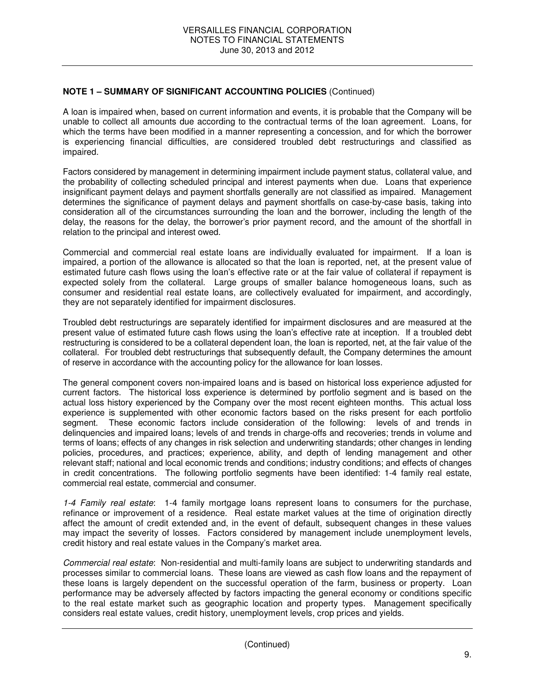## **NOTE 1 – SUMMARY OF SIGNIFICANT ACCOUNTING POLICIES** (Continued)

A loan is impaired when, based on current information and events, it is probable that the Company will be unable to collect all amounts due according to the contractual terms of the loan agreement. Loans, for which the terms have been modified in a manner representing a concession, and for which the borrower is experiencing financial difficulties, are considered troubled debt restructurings and classified as impaired.

Factors considered by management in determining impairment include payment status, collateral value, and the probability of collecting scheduled principal and interest payments when due. Loans that experience insignificant payment delays and payment shortfalls generally are not classified as impaired. Management determines the significance of payment delays and payment shortfalls on case-by-case basis, taking into consideration all of the circumstances surrounding the loan and the borrower, including the length of the delay, the reasons for the delay, the borrower's prior payment record, and the amount of the shortfall in relation to the principal and interest owed.

Commercial and commercial real estate loans are individually evaluated for impairment. If a loan is impaired, a portion of the allowance is allocated so that the loan is reported, net, at the present value of estimated future cash flows using the loan's effective rate or at the fair value of collateral if repayment is expected solely from the collateral. Large groups of smaller balance homogeneous loans, such as consumer and residential real estate loans, are collectively evaluated for impairment, and accordingly, they are not separately identified for impairment disclosures.

Troubled debt restructurings are separately identified for impairment disclosures and are measured at the present value of estimated future cash flows using the loan's effective rate at inception. If a troubled debt restructuring is considered to be a collateral dependent loan, the loan is reported, net, at the fair value of the collateral. For troubled debt restructurings that subsequently default, the Company determines the amount of reserve in accordance with the accounting policy for the allowance for loan losses.

The general component covers non-impaired loans and is based on historical loss experience adjusted for current factors. The historical loss experience is determined by portfolio segment and is based on the actual loss history experienced by the Company over the most recent eighteen months. This actual loss experience is supplemented with other economic factors based on the risks present for each portfolio segment. These economic factors include consideration of the following: levels of and trends in delinquencies and impaired loans; levels of and trends in charge-offs and recoveries; trends in volume and terms of loans; effects of any changes in risk selection and underwriting standards; other changes in lending policies, procedures, and practices; experience, ability, and depth of lending management and other relevant staff; national and local economic trends and conditions; industry conditions; and effects of changes in credit concentrations. The following portfolio segments have been identified: 1-4 family real estate, commercial real estate, commercial and consumer.

1-4 Family real estate:1-4 family mortgage loans represent loans to consumers for the purchase, refinance or improvement of a residence. Real estate market values at the time of origination directly affect the amount of credit extended and, in the event of default, subsequent changes in these values may impact the severity of losses. Factors considered by management include unemployment levels, credit history and real estate values in the Company's market area.

Commercial real estate:Non-residential and multi-family loans are subject to underwriting standards and processes similar to commercial loans. These loans are viewed as cash flow loans and the repayment of these loans is largely dependent on the successful operation of the farm, business or property. Loan performance may be adversely affected by factors impacting the general economy or conditions specific to the real estate market such as geographic location and property types. Management specifically considers real estate values, credit history, unemployment levels, crop prices and yields.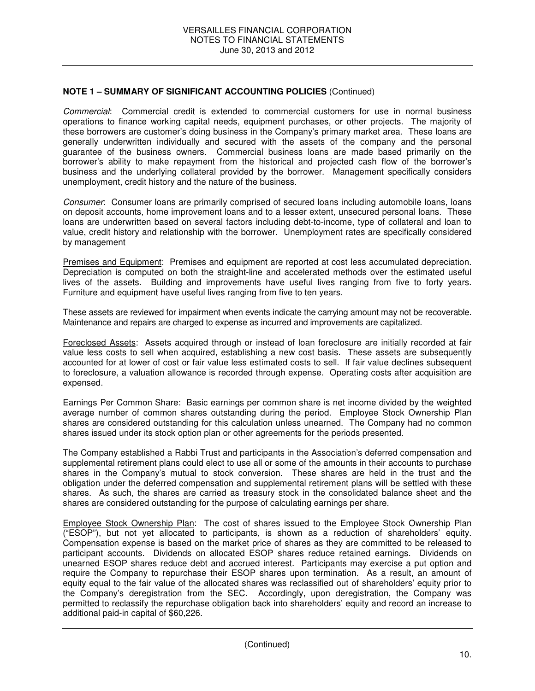## **NOTE 1 – SUMMARY OF SIGNIFICANT ACCOUNTING POLICIES** (Continued)

Commercial: Commercial credit is extended to commercial customers for use in normal business operations to finance working capital needs, equipment purchases, or other projects. The majority of these borrowers are customer's doing business in the Company's primary market area. These loans are generally underwritten individually and secured with the assets of the company and the personal guarantee of the business owners. Commercial business loans are made based primarily on the borrower's ability to make repayment from the historical and projected cash flow of the borrower's business and the underlying collateral provided by the borrower. Management specifically considers unemployment, credit history and the nature of the business.

Consumer: Consumer loans are primarily comprised of secured loans including automobile loans, loans on deposit accounts, home improvement loans and to a lesser extent, unsecured personal loans. These loans are underwritten based on several factors including debt-to-income, type of collateral and loan to value, credit history and relationship with the borrower. Unemployment rates are specifically considered by management

Premises and Equipment: Premises and equipment are reported at cost less accumulated depreciation. Depreciation is computed on both the straight-line and accelerated methods over the estimated useful lives of the assets. Building and improvements have useful lives ranging from five to forty years. Furniture and equipment have useful lives ranging from five to ten years.

These assets are reviewed for impairment when events indicate the carrying amount may not be recoverable. Maintenance and repairs are charged to expense as incurred and improvements are capitalized.

Foreclosed Assets: Assets acquired through or instead of loan foreclosure are initially recorded at fair value less costs to sell when acquired, establishing a new cost basis. These assets are subsequently accounted for at lower of cost or fair value less estimated costs to sell. If fair value declines subsequent to foreclosure, a valuation allowance is recorded through expense. Operating costs after acquisition are expensed.

Earnings Per Common Share: Basic earnings per common share is net income divided by the weighted average number of common shares outstanding during the period. Employee Stock Ownership Plan shares are considered outstanding for this calculation unless unearned. The Company had no common shares issued under its stock option plan or other agreements for the periods presented.

The Company established a Rabbi Trust and participants in the Association's deferred compensation and supplemental retirement plans could elect to use all or some of the amounts in their accounts to purchase shares in the Company's mutual to stock conversion. These shares are held in the trust and the obligation under the deferred compensation and supplemental retirement plans will be settled with these shares. As such, the shares are carried as treasury stock in the consolidated balance sheet and the shares are considered outstanding for the purpose of calculating earnings per share.

Employee Stock Ownership Plan: The cost of shares issued to the Employee Stock Ownership Plan ("ESOP"), but not yet allocated to participants, is shown as a reduction of shareholders' equity. Compensation expense is based on the market price of shares as they are committed to be released to participant accounts. Dividends on allocated ESOP shares reduce retained earnings. Dividends on unearned ESOP shares reduce debt and accrued interest. Participants may exercise a put option and require the Company to repurchase their ESOP shares upon termination. As a result, an amount of equity equal to the fair value of the allocated shares was reclassified out of shareholders' equity prior to the Company's deregistration from the SEC. Accordingly, upon deregistration, the Company was permitted to reclassify the repurchase obligation back into shareholders' equity and record an increase to additional paid-in capital of \$60,226.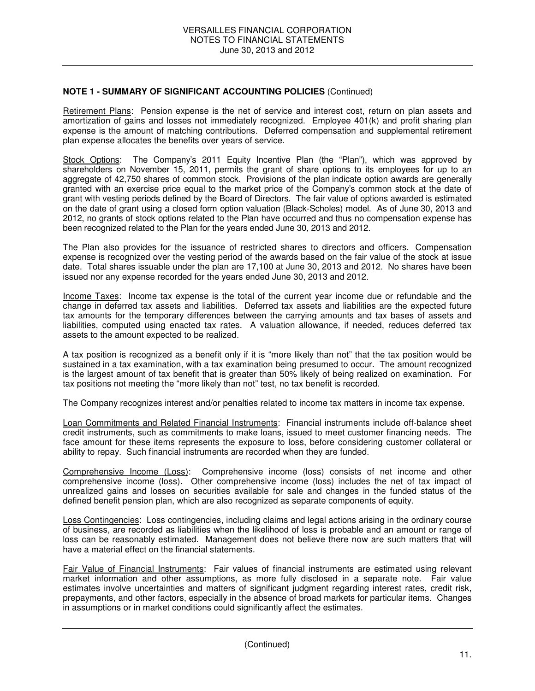### **NOTE 1 - SUMMARY OF SIGNIFICANT ACCOUNTING POLICIES** (Continued)

Retirement Plans: Pension expense is the net of service and interest cost, return on plan assets and amortization of gains and losses not immediately recognized. Employee 401(k) and profit sharing plan expense is the amount of matching contributions. Deferred compensation and supplemental retirement plan expense allocates the benefits over years of service.

Stock Options: The Company's 2011 Equity Incentive Plan (the "Plan"), which was approved by shareholders on November 15, 2011, permits the grant of share options to its employees for up to an aggregate of 42,750 shares of common stock. Provisions of the plan indicate option awards are generally granted with an exercise price equal to the market price of the Company's common stock at the date of grant with vesting periods defined by the Board of Directors. The fair value of options awarded is estimated on the date of grant using a closed form option valuation (Black-Scholes) model. As of June 30, 2013 and 2012, no grants of stock options related to the Plan have occurred and thus no compensation expense has been recognized related to the Plan for the years ended June 30, 2013 and 2012.

The Plan also provides for the issuance of restricted shares to directors and officers. Compensation expense is recognized over the vesting period of the awards based on the fair value of the stock at issue date. Total shares issuable under the plan are 17,100 at June 30, 2013 and 2012. No shares have been issued nor any expense recorded for the years ended June 30, 2013 and 2012.

Income Taxes: Income tax expense is the total of the current year income due or refundable and the change in deferred tax assets and liabilities. Deferred tax assets and liabilities are the expected future tax amounts for the temporary differences between the carrying amounts and tax bases of assets and liabilities, computed using enacted tax rates. A valuation allowance, if needed, reduces deferred tax assets to the amount expected to be realized.

A tax position is recognized as a benefit only if it is "more likely than not" that the tax position would be sustained in a tax examination, with a tax examination being presumed to occur. The amount recognized is the largest amount of tax benefit that is greater than 50% likely of being realized on examination. For tax positions not meeting the "more likely than not" test, no tax benefit is recorded.

The Company recognizes interest and/or penalties related to income tax matters in income tax expense.

Loan Commitments and Related Financial Instruments: Financial instruments include off-balance sheet credit instruments, such as commitments to make loans, issued to meet customer financing needs. The face amount for these items represents the exposure to loss, before considering customer collateral or ability to repay. Such financial instruments are recorded when they are funded.

Comprehensive Income (Loss): Comprehensive income (loss) consists of net income and other comprehensive income (loss). Other comprehensive income (loss) includes the net of tax impact of unrealized gains and losses on securities available for sale and changes in the funded status of the defined benefit pension plan, which are also recognized as separate components of equity.

Loss Contingencies: Loss contingencies, including claims and legal actions arising in the ordinary course of business, are recorded as liabilities when the likelihood of loss is probable and an amount or range of loss can be reasonably estimated. Management does not believe there now are such matters that will have a material effect on the financial statements.

Fair Value of Financial Instruments: Fair values of financial instruments are estimated using relevant market information and other assumptions, as more fully disclosed in a separate note. Fair value estimates involve uncertainties and matters of significant judgment regarding interest rates, credit risk, prepayments, and other factors, especially in the absence of broad markets for particular items. Changes in assumptions or in market conditions could significantly affect the estimates.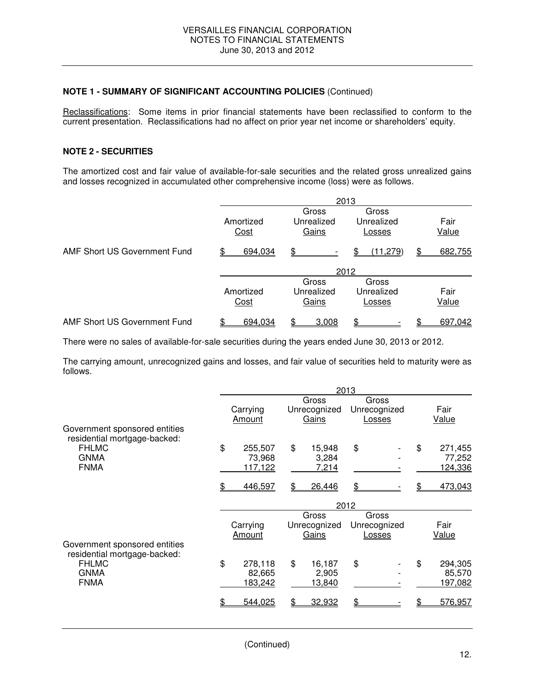## **NOTE 1 - SUMMARY OF SIGNIFICANT ACCOUNTING POLICIES** (Continued)

Reclassifications: Some items in prior financial statements have been reclassified to conform to the current presentation. Reclassifications had no affect on prior year net income or shareholders' equity.

### **NOTE 2 - SECURITIES**

The amortized cost and fair value of available-for-sale securities and the related gross unrealized gains and losses recognized in accumulated other comprehensive income (loss) were as follows.

|                              | 2013              |                              |                               |     |                      |  |  |  |
|------------------------------|-------------------|------------------------------|-------------------------------|-----|----------------------|--|--|--|
|                              | Amortized<br>Cost | Gross<br>Unrealized<br>Gains | Gross<br>Unrealized<br>Losses |     | Fair<br>Value        |  |  |  |
| AMF Short US Government Fund | 694,034           | \$                           | (11,279)                      | \$. | 682,755              |  |  |  |
|                              | 2012              |                              |                               |     |                      |  |  |  |
|                              | Amortized<br>Cost | Gross<br>Unrealized<br>Gains | Gross<br>Unrealized<br>Losses |     | Fair<br><u>Value</u> |  |  |  |
| AMF Short US Government Fund | 694,034           | 3,008                        | \$                            |     | 697,042              |  |  |  |

There were no sales of available-for-sale securities during the years ended June 30, 2013 or 2012.

The carrying amount, unrecognized gains and losses, and fair value of securities held to maturity were as follows.

|                                                                            | 2013 |                              |    |                                |      |                                 |    |                              |
|----------------------------------------------------------------------------|------|------------------------------|----|--------------------------------|------|---------------------------------|----|------------------------------|
| Government sponsored entities                                              |      | Carrying<br>Amount           |    | Gross<br>Unrecognized<br>Gains |      | Gross<br>Unrecognized<br>Losses |    | Fair<br><b>Value</b>         |
| residential mortgage-backed:<br><b>FHLMC</b><br><b>GNMA</b><br><b>FNMA</b> | \$   | 255,507<br>73,968<br>117,122 | \$ | 15,948<br>3,284<br>7,214       | \$   |                                 | \$ | 271,455<br>77,252<br>124,336 |
|                                                                            |      | 446,597                      |    | 26,446                         | \$   |                                 |    | 473,043                      |
|                                                                            |      |                              |    |                                | 2012 |                                 |    |                              |
| Government sponsored entities                                              |      | Carrying<br>Amount           |    | Gross<br>Unrecognized<br>Gains |      | Gross<br>Unrecognized<br>Losses |    | Fair<br><b>Value</b>         |
| residential mortgage-backed:<br><b>FHLMC</b><br><b>GNMA</b><br><b>FNMA</b> | \$   | 278,118<br>82,665<br>183,242 | \$ | 16,187<br>2,905<br>13,840      | \$   |                                 | \$ | 294,305<br>85,570<br>197,082 |
|                                                                            |      | 544,025                      |    | 32,932                         | \$.  |                                 |    | 576,957                      |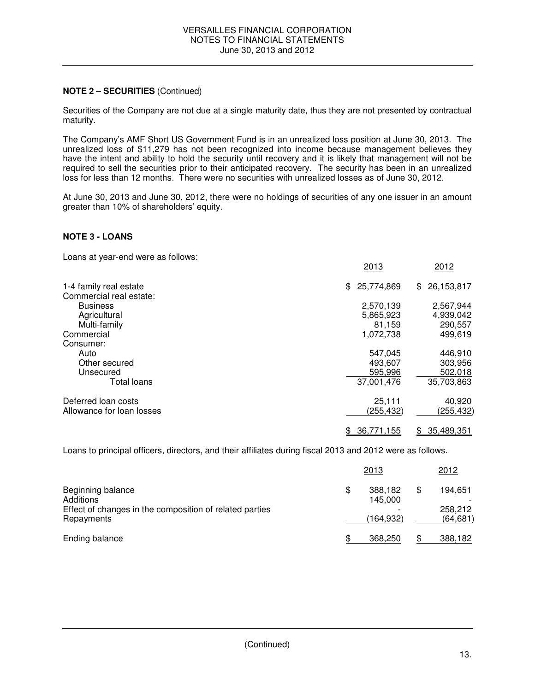### **NOTE 2 – SECURITIES** (Continued)

Securities of the Company are not due at a single maturity date, thus they are not presented by contractual maturity.

The Company's AMF Short US Government Fund is in an unrealized loss position at June 30, 2013. The unrealized loss of \$11,279 has not been recognized into income because management believes they have the intent and ability to hold the security until recovery and it is likely that management will not be required to sell the securities prior to their anticipated recovery. The security has been in an unrealized loss for less than 12 months. There were no securities with unrealized losses as of June 30, 2012.

At June 30, 2013 and June 30, 2012, there were no holdings of securities of any one issuer in an amount greater than 10% of shareholders' equity.

### **NOTE 3 - LOANS**

Loans at year-end were as follows:

|                           | 2013         | 2012             |
|---------------------------|--------------|------------------|
| 1-4 family real estate    | \$25,774,869 | 26,153,817<br>\$ |
| Commercial real estate:   |              |                  |
| <b>Business</b>           | 2,570,139    | 2,567,944        |
| Agricultural              | 5,865,923    | 4,939,042        |
| Multi-family              | 81.159       | 290,557          |
| Commercial                | 1,072,738    | 499,619          |
| Consumer:                 |              |                  |
| Auto                      | 547,045      | 446,910          |
| Other secured             | 493,607      | 303,956          |
| Unsecured                 | 595,996      | 502,018          |
| Total loans               | 37,001,476   | 35,703,863       |
| Deferred loan costs       | 25,111       | 40,920           |
| Allowance for loan losses | (255, 432)   | (255, 432)       |
|                           | 36,771,155   | 35,489,351<br>\$ |

Loans to principal officers, directors, and their affiliates during fiscal 2013 and 2012 were as follows.

|                                                                                                         |     | 2013                            |    | 2012                            |
|---------------------------------------------------------------------------------------------------------|-----|---------------------------------|----|---------------------------------|
| Beginning balance<br>Additions<br>Effect of changes in the composition of related parties<br>Repayments | \$. | 388,182<br>145,000<br>(164,932) | \$ | 194.651<br>258,212<br>(64, 681) |
| Ending balance                                                                                          |     | 368,250                         | ጥ  | 388,182                         |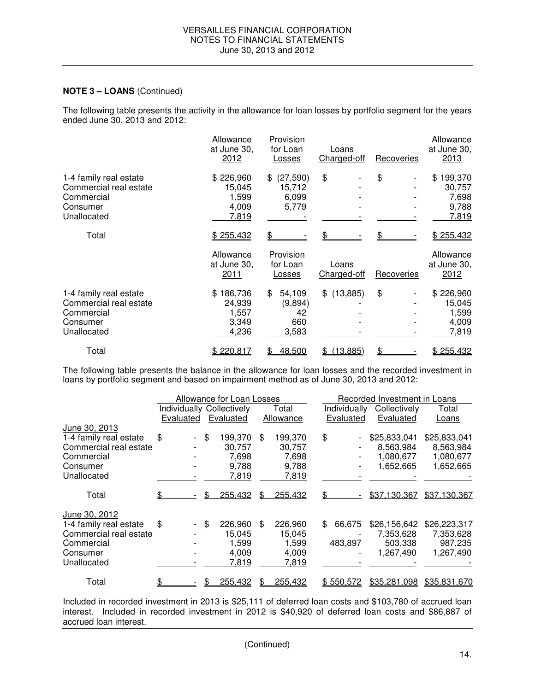### **NOTE 3 – LOANS** (Continued)

The following table presents the activity in the allowance for loan losses by portfolio segment for the years ended June 30, 2013 and 2012:

|                                                                                           | Allowance<br>at June 30,<br>2012               | Provision<br>for Loan<br>Losses               | Loans<br>Charged-off | Recoveries | Allowance<br>at June 30,<br>2013                    |
|-------------------------------------------------------------------------------------------|------------------------------------------------|-----------------------------------------------|----------------------|------------|-----------------------------------------------------|
| 1-4 family real estate<br>Commercial real estate<br>Commercial<br>Consumer<br>Unallocated | \$226,960<br>15,045<br>1,599<br>4,009<br>7,819 | (27, 590)<br>\$<br>15,712<br>6,099<br>5,779   | \$                   | \$         | 199,370<br>\$.<br>30,757<br>7,698<br>9,788<br>7,819 |
| Total                                                                                     | \$255,432                                      | \$                                            |                      |            | \$255,432                                           |
|                                                                                           | Allowance<br>at June 30,<br>2011               | Provision<br>for Loan<br>Losses               | Loans<br>Charged-off | Recoveries | Allowance<br>at June 30,<br>2012                    |
| 1-4 family real estate<br>Commercial real estate<br>Commercial<br>Consumer<br>Unallocated | \$186,736<br>24,939<br>1,557<br>3,349<br>4,236 | \$<br>54,109<br>(9,894)<br>42<br>660<br>3,583 | $$$ (13,885)         | \$         | \$226,960<br>15,045<br>1,599<br>4,009<br>7,819      |
| Total                                                                                     | \$220,817                                      | 48,500                                        | (13,885)             |            | \$255,432                                           |

The following table presents the balance in the allowance for loan losses and the recorded investment in loans by portfolio segment and based on impairment method as of June 30, 2013 and 2012:

|                        | Allowance for Loan Losses |     |           | Recorded Investment in Loans |    |              |              |              |
|------------------------|---------------------------|-----|-----------|------------------------------|----|--------------|--------------|--------------|
|                        | Individually Collectively |     |           | Total                        |    | Individually | Collectively | Total        |
|                        | Evaluated                 |     | Evaluated | Allowance                    |    | Evaluated    | Evaluated    | Loans        |
| June 30, 2013          |                           |     |           |                              |    |              |              |              |
| 1-4 family real estate | \$                        | \$  | 199,370   | \$<br>199,370                | \$ |              | \$25,833,041 | \$25,833,041 |
| Commercial real estate |                           |     | 30,757    | 30,757                       |    |              | 8,563,984    | 8,563,984    |
| Commercial             |                           |     | 7,698     | 7,698                        |    |              | 1,080,677    | 1,080,677    |
| Consumer               |                           |     | 9,788     | 9,788                        |    |              | 1,652,665    | 1,652,665    |
| Unallocated            |                           |     | 7,819     | 7,819                        |    |              |              |              |
| Total                  |                           | \$. | 255,432   | \$<br>255,432                |    |              | \$37,130,367 | \$37,130,367 |
| June 30, 2012          |                           |     |           |                              |    |              |              |              |
| 1-4 family real estate | \$                        | \$  | 226,960   | \$<br>226,960                | \$ | 66,675       | \$26,156,642 | \$26,223,317 |
| Commercial real estate |                           |     | 15,045    | 15,045                       |    |              | 7,353,628    | 7,353,628    |
| Commercial             |                           |     | 1,599     | 1,599                        |    | 483.897      | 503,338      | 987,235      |
| Consumer               |                           |     | 4,009     | 4,009                        |    |              | 1,267,490    | 1,267,490    |
| Unallocated            |                           |     | 7,819     | 7,819                        |    |              |              |              |
| Total                  |                           |     | 255,432   | 255,432                      |    | \$550,572    | \$35,281,098 | \$35,831,670 |

Included in recorded investment in 2013 is \$25,111 of deferred loan costs and \$103,780 of accrued loan interest. Included in recorded investment in 2012 is \$40,920 of deferred loan costs and \$86,887 of accrued loan interest.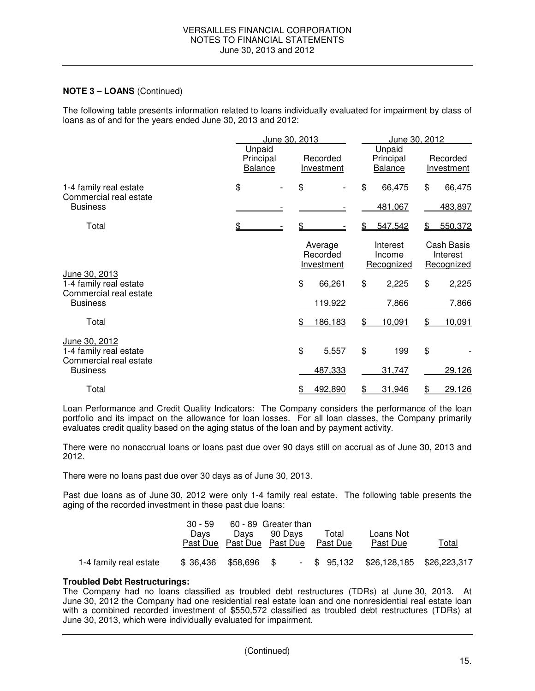### **NOTE 3 – LOANS** (Continued)

The following table presents information related to loans individually evaluated for impairment by class of loans as of and for the years ended June 30, 2013 and 2012:

|                                                                                      |                                       | June 30, 2013                                                | June 30, 2012                                            |                                                              |  |  |
|--------------------------------------------------------------------------------------|---------------------------------------|--------------------------------------------------------------|----------------------------------------------------------|--------------------------------------------------------------|--|--|
|                                                                                      | Unpaid<br>Principal<br><b>Balance</b> | Recorded<br>Investment                                       | Unpaid<br>Principal<br><b>Balance</b>                    | Recorded<br><b>Investment</b>                                |  |  |
| 1-4 family real estate<br>Commercial real estate<br><b>Business</b>                  | \$                                    | \$                                                           | \$<br>66,475<br>481,067                                  | \$<br>66,475<br>483,897                                      |  |  |
| Total                                                                                | \$                                    | \$                                                           | 547,542                                                  | 550,372<br>\$                                                |  |  |
| June 30, 2013<br>1-4 family real estate<br>Commercial real estate<br><b>Business</b> |                                       | Average<br>Recorded<br>Investment<br>\$<br>66,261<br>119,922 | Interest<br>Income<br>Recognized<br>\$<br>2,225<br>7,866 | Cash Basis<br>Interest<br>Recognized<br>\$<br>2,225<br>7,866 |  |  |
| Total                                                                                |                                       | 186,183<br>\$.                                               | 10,091                                                   | \$<br>10,091                                                 |  |  |
| June 30, 2012<br>1-4 family real estate<br>Commercial real estate<br><b>Business</b> |                                       | \$<br>5,557<br>487,333                                       | \$<br>199<br>31,747                                      | \$<br>29,126                                                 |  |  |
| Total                                                                                |                                       | 492,890<br>\$                                                | 31,946<br>\$                                             | \$<br>29,126                                                 |  |  |

Loan Performance and Credit Quality Indicators: The Company considers the performance of the loan portfolio and its impact on the allowance for loan losses. For all loan classes, the Company primarily evaluates credit quality based on the aging status of the loan and by payment activity.

There were no nonaccrual loans or loans past due over 90 days still on accrual as of June 30, 2013 and 2012.

There were no loans past due over 30 days as of June 30, 2013.

Past due loans as of June 30, 2012 were only 1-4 family real estate. The following table presents the aging of the recorded investment in these past due loans:

|                        | 30 - 59           |      | 60 - 89 Greater than       |          |                                         |               |
|------------------------|-------------------|------|----------------------------|----------|-----------------------------------------|---------------|
|                        | Davs              | Davs | 90 Davs                    | Total    | Loans Not                               |               |
|                        |                   |      | Past Due Past Due Past Due | Past Due | Past Due                                | T <u>otal</u> |
| 1-4 family real estate | \$36,436 \$58,696 |      | 8 S                        |          | $-$ \$ 95,132 \$26,128,185 \$26,223,317 |               |

### **Troubled Debt Restructurings:**

The Company had no loans classified as troubled debt restructures (TDRs) at June 30, 2013. At June 30, 2012 the Company had one residential real estate loan and one nonresidential real estate loan with a combined recorded investment of \$550,572 classified as troubled debt restructures (TDRs) at June 30, 2013, which were individually evaluated for impairment.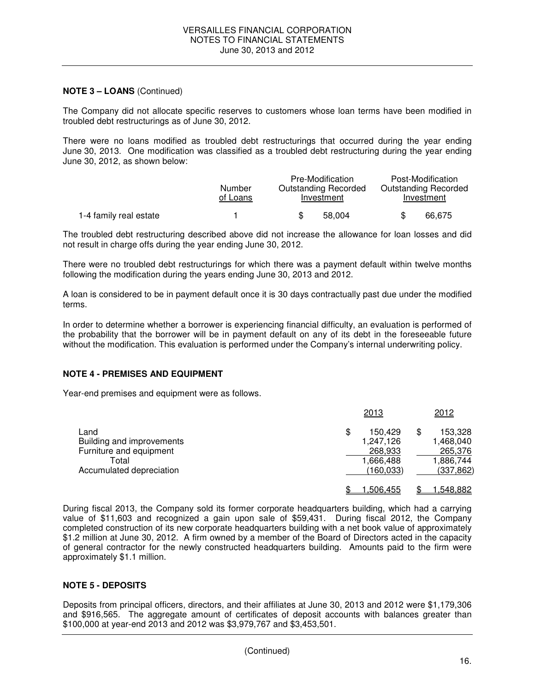### **NOTE 3 – LOANS** (Continued)

The Company did not allocate specific reserves to customers whose loan terms have been modified in troubled debt restructurings as of June 30, 2012.

There were no loans modified as troubled debt restructurings that occurred during the year ending June 30, 2013. One modification was classified as a troubled debt restructuring during the year ending June 30, 2012, as shown below:

|                        | Number<br>of Loans | Pre-Modification<br><b>Outstanding Recorded</b><br>Investment | Post-Modification<br><b>Outstanding Recorded</b><br>Investment |
|------------------------|--------------------|---------------------------------------------------------------|----------------------------------------------------------------|
| 1-4 family real estate |                    | 58.004                                                        | 66.675<br>S                                                    |

The troubled debt restructuring described above did not increase the allowance for loan losses and did not result in charge offs during the year ending June 30, 2012.

There were no troubled debt restructurings for which there was a payment default within twelve months following the modification during the years ending June 30, 2013 and 2012.

A loan is considered to be in payment default once it is 30 days contractually past due under the modified terms.

In order to determine whether a borrower is experiencing financial difficulty, an evaluation is performed of the probability that the borrower will be in payment default on any of its debt in the foreseeable future without the modification. This evaluation is performed under the Company's internal underwriting policy.

### **NOTE 4 - PREMISES AND EQUIPMENT**

Year-end premises and equipment were as follows.

|                                                                                                   | 2013                                                             | 2012                                                             |
|---------------------------------------------------------------------------------------------------|------------------------------------------------------------------|------------------------------------------------------------------|
| Land<br>Building and improvements<br>Furniture and equipment<br>Total<br>Accumulated depreciation | 150.429<br>\$<br>1,247,126<br>268,933<br>1,666,488<br>(160, 033) | 153,328<br>\$<br>1,468,040<br>265,376<br>1,886,744<br>(337, 862) |
|                                                                                                   | .506.455                                                         | <u>.548,882</u>                                                  |

During fiscal 2013, the Company sold its former corporate headquarters building, which had a carrying value of \$11,603 and recognized a gain upon sale of \$59,431. During fiscal 2012, the Company completed construction of its new corporate headquarters building with a net book value of approximately \$1.2 million at June 30, 2012. A firm owned by a member of the Board of Directors acted in the capacity of general contractor for the newly constructed headquarters building. Amounts paid to the firm were approximately \$1.1 million.

### **NOTE 5 - DEPOSITS**

Deposits from principal officers, directors, and their affiliates at June 30, 2013 and 2012 were \$1,179,306 and \$916,565. The aggregate amount of certificates of deposit accounts with balances greater than \$100,000 at year-end 2013 and 2012 was \$3,979,767 and \$3,453,501.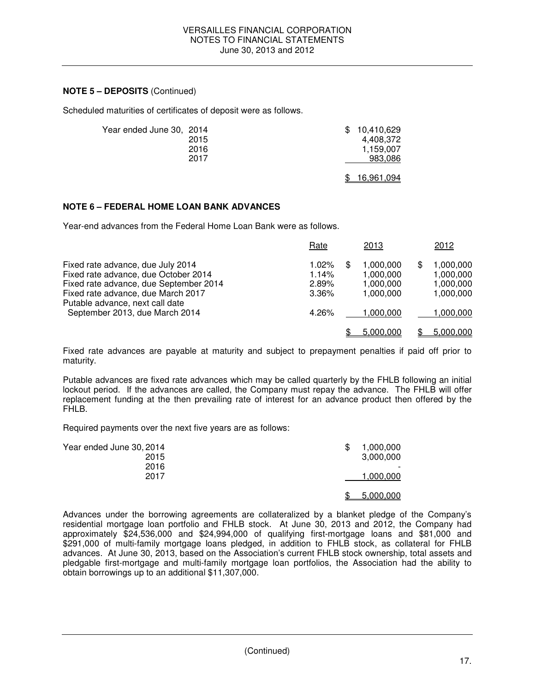## **NOTE 5 – DEPOSITS** (Continued)

Scheduled maturities of certificates of deposit were as follows.

| Year ended June 30, 2014 |              | \$10.410.629           |
|--------------------------|--------------|------------------------|
|                          | 2015<br>2016 | 4.408.372<br>1.159.007 |
|                          | 2017         | 983,086                |
|                          |              | <u>16,961,094</u>      |

## **NOTE 6 – FEDERAL HOME LOAN BANK ADVANCES**

Year-end advances from the Federal Home Loan Bank were as follows.

|                                                                   | Rate     |     | 2013      | 2012            |
|-------------------------------------------------------------------|----------|-----|-----------|-----------------|
| Fixed rate advance, due July 2014                                 | 1.02%    | \$. | 1,000,000 | \$<br>1,000,000 |
| Fixed rate advance, due October 2014                              | 1.14%    |     | 1,000,000 | 1,000,000       |
| Fixed rate advance, due September 2014                            | 2.89%    |     | 1,000,000 | 1,000,000       |
| Fixed rate advance, due March 2017                                | $3.36\%$ |     | 1,000,000 | 1,000,000       |
| Putable advance, next call date<br>September 2013, due March 2014 | 4.26%    |     | 1.000.000 | 1,000,000       |
|                                                                   |          |     |           |                 |
|                                                                   |          |     | 5.000.000 | 5,000,000       |

Fixed rate advances are payable at maturity and subject to prepayment penalties if paid off prior to maturity.

Putable advances are fixed rate advances which may be called quarterly by the FHLB following an initial lockout period. If the advances are called, the Company must repay the advance. The FHLB will offer replacement funding at the then prevailing rate of interest for an advance product then offered by the FHLB.

Required payments over the next five years are as follows:

| Year ended June 30, 2014 | 1,000,000<br>S |
|--------------------------|----------------|
| 2015                     | 3,000,000      |
| 2016                     |                |
| 2017                     | 1,000,000      |
|                          |                |
|                          | 5,000,000      |

Advances under the borrowing agreements are collateralized by a blanket pledge of the Company's residential mortgage loan portfolio and FHLB stock. At June 30, 2013 and 2012, the Company had approximately \$24,536,000 and \$24,994,000 of qualifying first-mortgage loans and \$81,000 and \$291,000 of multi-family mortgage loans pledged, in addition to FHLB stock, as collateral for FHLB advances. At June 30, 2013, based on the Association's current FHLB stock ownership, total assets and pledgable first-mortgage and multi-family mortgage loan portfolios, the Association had the ability to obtain borrowings up to an additional \$11,307,000.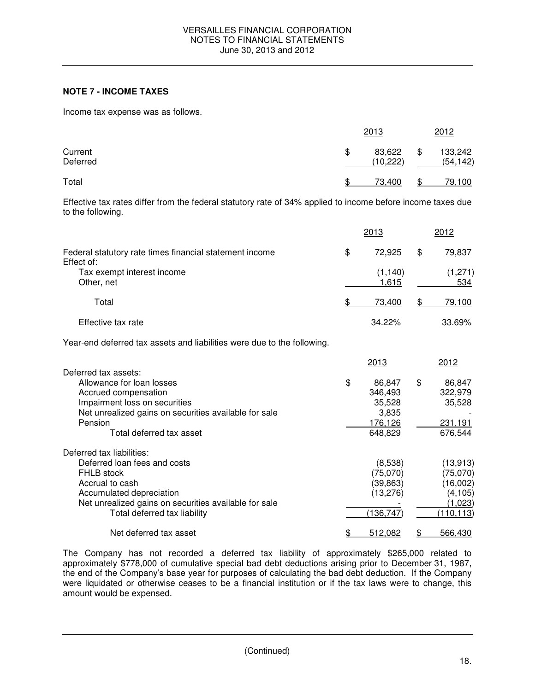## **NOTE 7 - INCOME TAXES**

Income tax expense was as follows.

|                     |   | 2013               |    |                      |
|---------------------|---|--------------------|----|----------------------|
| Current<br>Deferred | S | 83,622<br>(10,222) | \$ | 133,242<br>(54, 142) |
| Total               |   | 73.400             | \$ | 79,100               |

Effective tax rates differ from the federal statutory rate of 34% applied to income before income taxes due to the following.

|                                                                         | 2013                    | 2012                    |
|-------------------------------------------------------------------------|-------------------------|-------------------------|
| Federal statutory rate times financial statement income<br>Effect of:   | \$<br>72,925            | \$<br>79,837            |
| Tax exempt interest income                                              | (1, 140)                | (1,271)                 |
| Other, net                                                              | 1,615                   | 534                     |
| Total                                                                   | \$<br>73,400            | \$<br>79,100            |
| Effective tax rate                                                      | 34.22%                  | 33.69%                  |
| Year-end deferred tax assets and liabilities were due to the following. |                         |                         |
|                                                                         | 2013                    | 2012                    |
| Deferred tax assets:                                                    |                         |                         |
| Allowance for loan losses<br>Accrued compensation                       | \$<br>86,847<br>346,493 | \$<br>86,847<br>322,979 |
| Impairment loss on securities                                           | 35,528                  | 35,528                  |
| Net unrealized gains on securities available for sale                   | 3,835                   |                         |
| Pension                                                                 | 176,126                 | 231,191                 |
| Total deferred tax asset                                                | 648,829                 | 676,544                 |
| Deferred tax liabilities:                                               |                         |                         |
| Deferred loan fees and costs                                            | (8,538)                 | (13, 913)               |
| <b>FHLB</b> stock                                                       | (75,070)                | (75,070)                |
| Accrual to cash                                                         | (39, 863)               | (16,002)                |
| Accumulated depreciation                                                | (13, 276)               | (4, 105)                |
| Net unrealized gains on securities available for sale                   |                         | (1,023)                 |
| Total deferred tax liability                                            | (136, 747)              | (110, 113)              |
| Net deferred tax asset                                                  | \$<br>512,082           | \$<br>566,430           |

The Company has not recorded a deferred tax liability of approximately \$265,000 related to approximately \$778,000 of cumulative special bad debt deductions arising prior to December 31, 1987, the end of the Company's base year for purposes of calculating the bad debt deduction. If the Company were liquidated or otherwise ceases to be a financial institution or if the tax laws were to change, this amount would be expensed.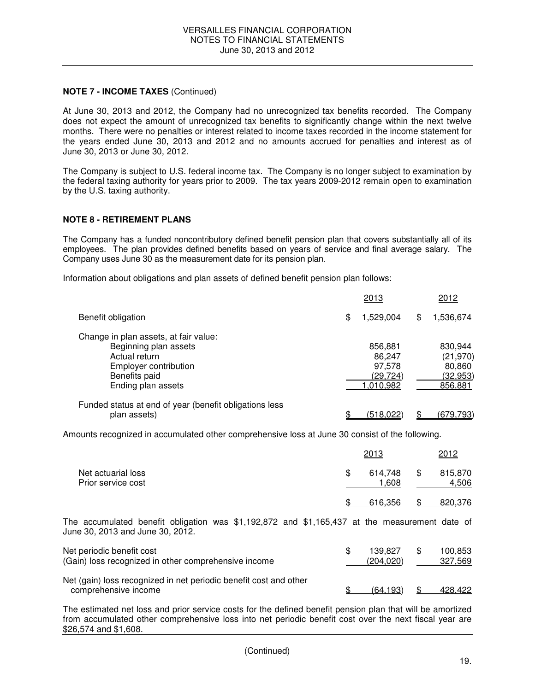#### **NOTE 7 - INCOME TAXES** (Continued)

At June 30, 2013 and 2012, the Company had no unrecognized tax benefits recorded. The Company does not expect the amount of unrecognized tax benefits to significantly change within the next twelve months. There were no penalties or interest related to income taxes recorded in the income statement for the years ended June 30, 2013 and 2012 and no amounts accrued for penalties and interest as of June 30, 2013 or June 30, 2012.

The Company is subject to U.S. federal income tax. The Company is no longer subject to examination by the federal taxing authority for years prior to 2009. The tax years 2009-2012 remain open to examination by the U.S. taxing authority.

#### **NOTE 8 - RETIREMENT PLANS**

The Company has a funded noncontributory defined benefit pension plan that covers substantially all of its employees. The plan provides defined benefits based on years of service and final average salary. The Company uses June 30 as the measurement date for its pension plan.

Information about obligations and plan assets of defined benefit pension plan follows:

|                                                                                                                                                 | 2013                                                  | 2012                                                 |
|-------------------------------------------------------------------------------------------------------------------------------------------------|-------------------------------------------------------|------------------------------------------------------|
| Benefit obligation                                                                                                                              | \$<br>1,529,004                                       | \$<br>1,536,674                                      |
| Change in plan assets, at fair value:<br>Beginning plan assets<br>Actual return<br>Employer contribution<br>Benefits paid<br>Ending plan assets | 856,881<br>86,247<br>97,578<br>(29, 724)<br>1,010,982 | 830,944<br>(21,970)<br>80,860<br>(32,953)<br>856,881 |
| Funded status at end of year (benefit obligations less<br>plan assets)                                                                          | (518,022)                                             | <u>(679,793)</u>                                     |

Amounts recognized in accumulated other comprehensive loss at June 30 consist of the following.

|                                                                                                                                     | 2013                       | 2012                     |
|-------------------------------------------------------------------------------------------------------------------------------------|----------------------------|--------------------------|
| Net actuarial loss<br>Prior service cost                                                                                            | \$<br>614.748<br>1,608     | \$<br>815,870<br>4,506   |
|                                                                                                                                     | 616.356                    | 820,376                  |
| The accumulated benefit obligation was $$1,192,872$ and $$1,165,437$ at the measurement date of<br>June 30, 2013 and June 30, 2012. |                            |                          |
| Net periodic benefit cost<br>(Gain) loss recognized in other comprehensive income                                                   | \$<br>139.827<br>(204,020) | \$<br>100,853<br>327,569 |
| Net (gain) loss recognized in net periodic benefit cost and other<br>comprehensive income                                           | (64.193)                   | 428.422                  |

The estimated net loss and prior service costs for the defined benefit pension plan that will be amortized from accumulated other comprehensive loss into net periodic benefit cost over the next fiscal year are \$26,574 and \$1,608.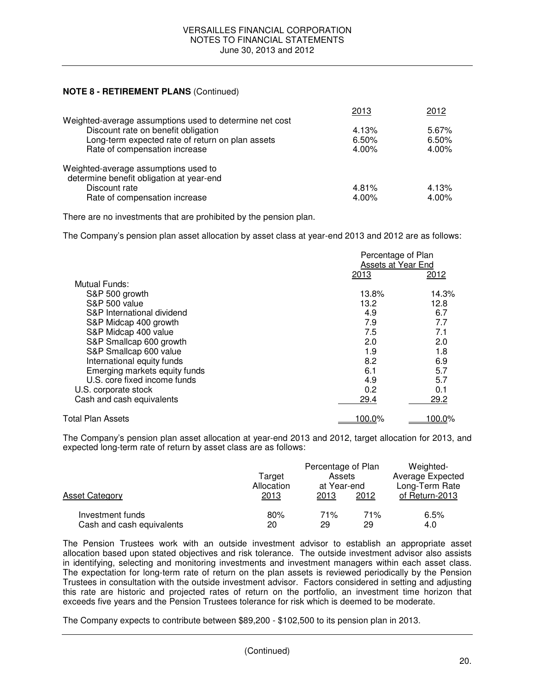|                                                         | 2013     | 2012  |
|---------------------------------------------------------|----------|-------|
| Weighted-average assumptions used to determine net cost |          |       |
| Discount rate on benefit obligation                     | 4.13%    | 5.67% |
| Long-term expected rate of return on plan assets        | 6.50%    | 6.50% |
| Rate of compensation increase                           | $4.00\%$ | 4.00% |
| Weighted-average assumptions used to                    |          |       |
| determine benefit obligation at year-end                |          |       |
| Discount rate                                           | 4.81%    | 4.13% |
| Rate of compensation increase                           | 4.00%    | 4.00% |

There are no investments that are prohibited by the pension plan.

The Company's pension plan asset allocation by asset class at year-end 2013 and 2012 are as follows:

|                               | Percentage of Plan<br>Assets at Year End |               |  |  |
|-------------------------------|------------------------------------------|---------------|--|--|
|                               | 2013                                     | 2012          |  |  |
| Mutual Funds:                 |                                          |               |  |  |
| S&P 500 growth                | 13.8%                                    | 14.3%         |  |  |
| S&P 500 value                 | 13.2                                     | 12.8          |  |  |
| S&P International dividend    | 4.9                                      | 6.7           |  |  |
| S&P Midcap 400 growth         | 7.9                                      | 7.7           |  |  |
| S&P Midcap 400 value          | 7.5                                      | 7.1           |  |  |
| S&P Smallcap 600 growth       | 2.0                                      | 2.0           |  |  |
| S&P Smallcap 600 value        | 1.9                                      | 1.8           |  |  |
| International equity funds    | 8.2                                      | 6.9           |  |  |
| Emerging markets equity funds | 6.1                                      | 5.7           |  |  |
| U.S. core fixed income funds  | 4.9                                      | 5.7           |  |  |
| U.S. corporate stock          | 0.2                                      | 0.1           |  |  |
| Cash and cash equivalents     | 29.4                                     | 29.2          |  |  |
| Total Plan Assets             | <u>100.0%</u>                            | <u>100.0%</u> |  |  |

The Company's pension plan asset allocation at year-end 2013 and 2012, target allocation for 2013, and expected long-term rate of return by asset class are as follows:

| <b>Asset Category</b>     | Target<br>Allocation<br>2013 | Percentage of Plan<br>Assets<br>at Year-end<br>2013 | 2012 | Weighted-<br>Average Expected<br>Long-Term Rate<br>of Return-2013 |  |  |
|---------------------------|------------------------------|-----------------------------------------------------|------|-------------------------------------------------------------------|--|--|
| Investment funds          | 80%                          | 71%                                                 | 71%  | 6.5%                                                              |  |  |
| Cash and cash equivalents | 20                           | 29                                                  | 29   | 4.0                                                               |  |  |

The Pension Trustees work with an outside investment advisor to establish an appropriate asset allocation based upon stated objectives and risk tolerance. The outside investment advisor also assists in identifying, selecting and monitoring investments and investment managers within each asset class. The expectation for long-term rate of return on the plan assets is reviewed periodically by the Pension Trustees in consultation with the outside investment advisor. Factors considered in setting and adjusting this rate are historic and projected rates of return on the portfolio, an investment time horizon that exceeds five years and the Pension Trustees tolerance for risk which is deemed to be moderate.

The Company expects to contribute between \$89,200 - \$102,500 to its pension plan in 2013.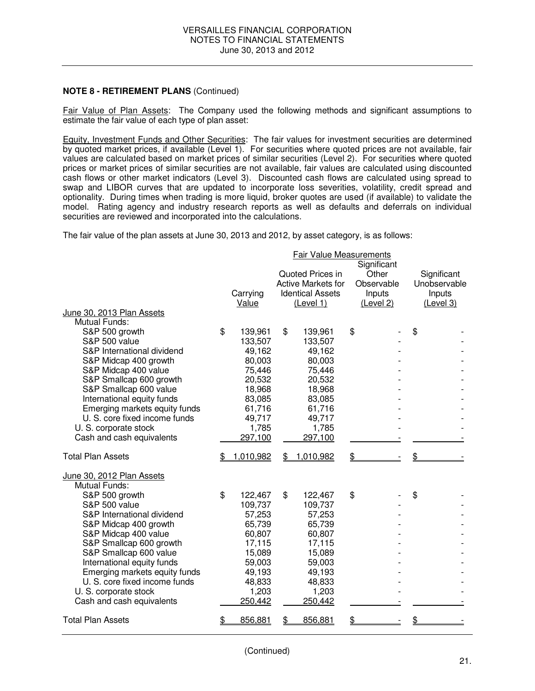Fair Value of Plan Assets: The Company used the following methods and significant assumptions to estimate the fair value of each type of plan asset:

Equity, Investment Funds and Other Securities: The fair values for investment securities are determined by quoted market prices, if available (Level 1). For securities where quoted prices are not available, fair values are calculated based on market prices of similar securities (Level 2). For securities where quoted prices or market prices of similar securities are not available, fair values are calculated using discounted cash flows or other market indicators (Level 3). Discounted cash flows are calculated using spread to swap and LIBOR curves that are updated to incorporate loss severities, volatility, credit spread and optionality. During times when trading is more liquid, broker quotes are used (if available) to validate the model. Rating agency and industry research reports as well as defaults and deferrals on individual securities are reviewed and incorporated into the calculations.

The fair value of the plan assets at June 30, 2013 and 2012, by asset category, is as follows:

|                                                                |    |           | <b>Fair Value Measurements</b> |             |              |
|----------------------------------------------------------------|----|-----------|--------------------------------|-------------|--------------|
|                                                                |    |           |                                | Significant |              |
|                                                                |    |           | Quoted Prices in               | Other       | Significant  |
|                                                                |    |           | Active Markets for             | Observable  | Unobservable |
|                                                                |    | Carrying  | <b>Identical Assets</b>        | Inputs      | Inputs       |
|                                                                |    | Value     | (Level 1)                      | (Level 2)   | (Level 3)    |
| June 30, 2013 Plan Assets                                      |    |           |                                |             |              |
| <b>Mutual Funds:</b>                                           |    |           |                                |             |              |
| S&P 500 growth                                                 | \$ | 139,961   | \$<br>139,961                  | \$          | \$           |
| <b>S&amp;P 500 value</b>                                       |    | 133,507   | 133,507                        |             |              |
|                                                                |    |           |                                |             |              |
| S&P International dividend                                     |    | 49,162    | 49,162                         |             |              |
| S&P Midcap 400 growth                                          |    | 80,003    | 80,003                         |             |              |
| S&P Midcap 400 value                                           |    | 75,446    | 75,446                         |             |              |
| S&P Smallcap 600 growth                                        |    | 20,532    | 20,532                         |             |              |
| S&P Smallcap 600 value                                         |    | 18,968    | 18,968                         |             |              |
| International equity funds                                     |    | 83,085    | 83,085                         |             |              |
| Emerging markets equity funds                                  |    | 61,716    | 61,716                         |             |              |
| U. S. core fixed income funds                                  |    | 49,717    | 49,717                         |             |              |
| U. S. corporate stock                                          |    | 1,785     | 1,785                          |             |              |
| Cash and cash equivalents                                      |    | 297,100   | 297,100                        |             |              |
|                                                                |    |           |                                |             |              |
| <b>Total Plan Assets</b>                                       | S  | 1,010,982 | \$1,010,982                    | \$          |              |
| June 30, 2012 Plan Assets                                      |    |           |                                |             |              |
| Mutual Funds:                                                  |    |           |                                |             |              |
| S&P 500 growth                                                 | \$ | 122,467   | \$<br>122,467                  | \$          | \$           |
| <b>S&amp;P 500 value</b>                                       |    | 109,737   | 109,737                        |             |              |
| S&P International dividend                                     |    | 57,253    | 57,253                         |             |              |
| S&P Midcap 400 growth                                          |    | 65,739    | 65,739                         |             |              |
| S&P Midcap 400 value                                           |    | 60,807    | 60,807                         |             |              |
| S&P Smallcap 600 growth                                        |    | 17,115    | 17,115                         |             |              |
| S&P Smallcap 600 value                                         |    | 15,089    | 15,089                         |             |              |
| International equity funds                                     |    | 59,003    | 59,003                         |             |              |
|                                                                |    |           |                                |             |              |
| Emerging markets equity funds<br>U. S. core fixed income funds |    | 49,193    | 49,193                         |             |              |
|                                                                |    | 48,833    | 48,833                         |             |              |
| U. S. corporate stock                                          |    | 1,203     | 1,203                          |             |              |
| Cash and cash equivalents                                      |    | 250,442   | 250,442                        |             |              |
| <b>Total Plan Assets</b>                                       | \$ | 856,881   | \$<br>856,881                  | \$          |              |

(Continued)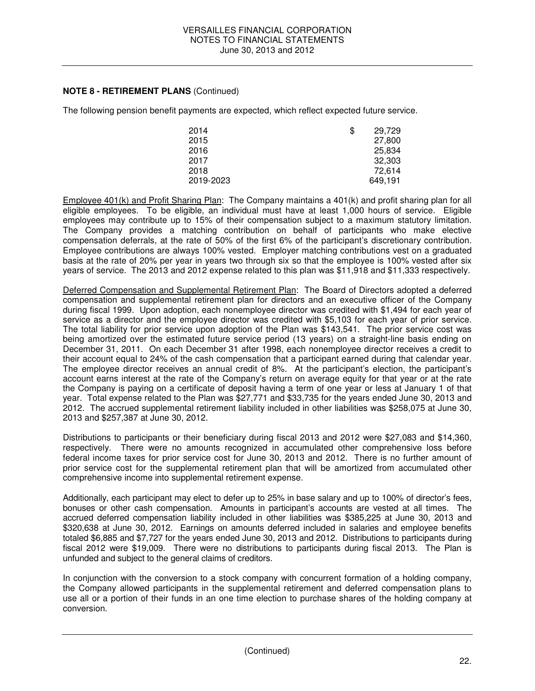The following pension benefit payments are expected, which reflect expected future service.

| 2014      | \$<br>29.729 |
|-----------|--------------|
| 2015      | 27,800       |
| 2016      | 25.834       |
| 2017      | 32.303       |
| 2018      | 72.614       |
| 2019-2023 | 649.191      |

Employee 401(k) and Profit Sharing Plan: The Company maintains a 401(k) and profit sharing plan for all eligible employees. To be eligible, an individual must have at least 1,000 hours of service. Eligible employees may contribute up to 15% of their compensation subject to a maximum statutory limitation. The Company provides a matching contribution on behalf of participants who make elective compensation deferrals, at the rate of 50% of the first 6% of the participant's discretionary contribution. Employee contributions are always 100% vested. Employer matching contributions vest on a graduated basis at the rate of 20% per year in years two through six so that the employee is 100% vested after six years of service. The 2013 and 2012 expense related to this plan was \$11,918 and \$11,333 respectively.

Deferred Compensation and Supplemental Retirement Plan: The Board of Directors adopted a deferred compensation and supplemental retirement plan for directors and an executive officer of the Company during fiscal 1999. Upon adoption, each nonemployee director was credited with \$1,494 for each year of service as a director and the employee director was credited with \$5,103 for each year of prior service. The total liability for prior service upon adoption of the Plan was \$143,541. The prior service cost was being amortized over the estimated future service period (13 years) on a straight-line basis ending on December 31, 2011. On each December 31 after 1998, each nonemployee director receives a credit to their account equal to 24% of the cash compensation that a participant earned during that calendar year. The employee director receives an annual credit of 8%. At the participant's election, the participant's account earns interest at the rate of the Company's return on average equity for that year or at the rate the Company is paying on a certificate of deposit having a term of one year or less at January 1 of that year. Total expense related to the Plan was \$27,771 and \$33,735 for the years ended June 30, 2013 and 2012. The accrued supplemental retirement liability included in other liabilities was \$258,075 at June 30, 2013 and \$257,387 at June 30, 2012.

Distributions to participants or their beneficiary during fiscal 2013 and 2012 were \$27,083 and \$14,360, respectively. There were no amounts recognized in accumulated other comprehensive loss before federal income taxes for prior service cost for June 30, 2013 and 2012. There is no further amount of prior service cost for the supplemental retirement plan that will be amortized from accumulated other comprehensive income into supplemental retirement expense.

Additionally, each participant may elect to defer up to 25% in base salary and up to 100% of director's fees, bonuses or other cash compensation. Amounts in participant's accounts are vested at all times. The accrued deferred compensation liability included in other liabilities was \$385,225 at June 30, 2013 and \$320,638 at June 30, 2012. Earnings on amounts deferred included in salaries and employee benefits totaled \$6,885 and \$7,727 for the years ended June 30, 2013 and 2012. Distributions to participants during fiscal 2012 were \$19,009. There were no distributions to participants during fiscal 2013. The Plan is unfunded and subject to the general claims of creditors.

In conjunction with the conversion to a stock company with concurrent formation of a holding company, the Company allowed participants in the supplemental retirement and deferred compensation plans to use all or a portion of their funds in an one time election to purchase shares of the holding company at conversion.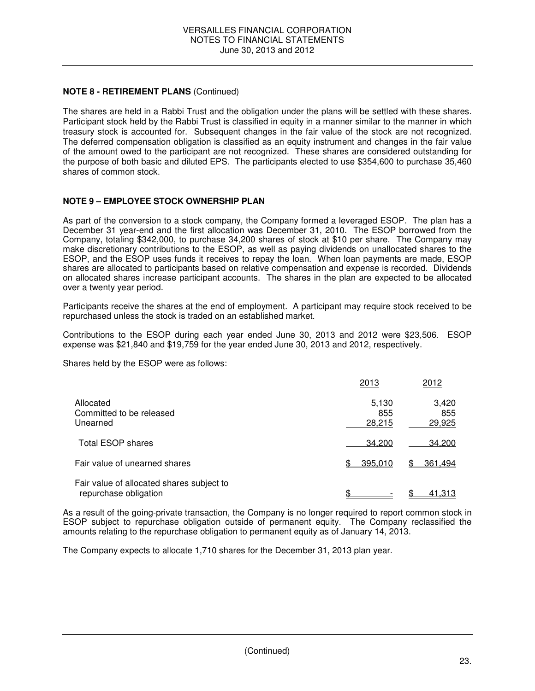The shares are held in a Rabbi Trust and the obligation under the plans will be settled with these shares. Participant stock held by the Rabbi Trust is classified in equity in a manner similar to the manner in which treasury stock is accounted for. Subsequent changes in the fair value of the stock are not recognized. The deferred compensation obligation is classified as an equity instrument and changes in the fair value of the amount owed to the participant are not recognized. These shares are considered outstanding for the purpose of both basic and diluted EPS. The participants elected to use \$354,600 to purchase 35,460 shares of common stock.

## **NOTE 9 – EMPLOYEE STOCK OWNERSHIP PLAN**

As part of the conversion to a stock company, the Company formed a leveraged ESOP. The plan has a December 31 year-end and the first allocation was December 31, 2010. The ESOP borrowed from the Company, totaling \$342,000, to purchase 34,200 shares of stock at \$10 per share. The Company may make discretionary contributions to the ESOP, as well as paying dividends on unallocated shares to the ESOP, and the ESOP uses funds it receives to repay the loan. When loan payments are made, ESOP shares are allocated to participants based on relative compensation and expense is recorded. Dividends on allocated shares increase participant accounts. The shares in the plan are expected to be allocated over a twenty year period.

Participants receive the shares at the end of employment. A participant may require stock received to be repurchased unless the stock is traded on an established market.

Contributions to the ESOP during each year ended June 30, 2013 and 2012 were \$23,506. ESOP expense was \$21,840 and \$19,759 for the year ended June 30, 2013 and 2012, respectively.

Shares held by the ESOP were as follows:

|                                                                    | 2013                   | 2012                   |
|--------------------------------------------------------------------|------------------------|------------------------|
| Allocated<br>Committed to be released<br>Unearned                  | 5,130<br>855<br>28,215 | 3,420<br>855<br>29,925 |
| Total ESOP shares                                                  | 34.200                 | 34,200                 |
| Fair value of unearned shares                                      | 395,010                | 361,494                |
| Fair value of allocated shares subject to<br>repurchase obligation |                        | 41.313                 |

As a result of the going-private transaction, the Company is no longer required to report common stock in ESOP subject to repurchase obligation outside of permanent equity. The Company reclassified the amounts relating to the repurchase obligation to permanent equity as of January 14, 2013.

The Company expects to allocate 1,710 shares for the December 31, 2013 plan year.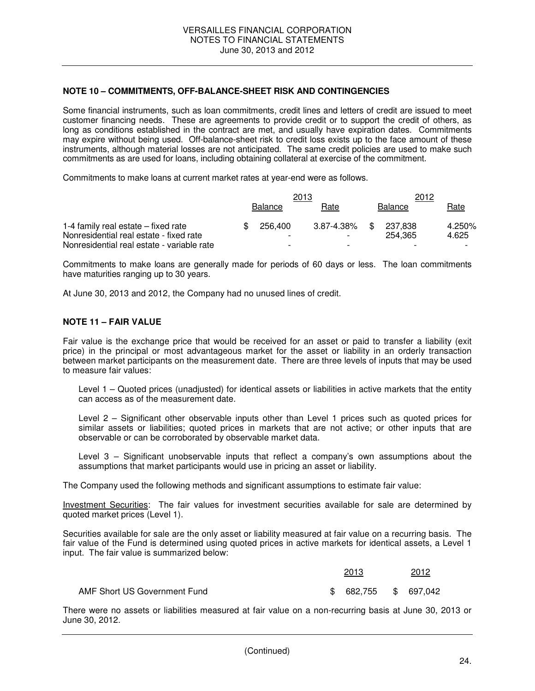#### **NOTE 10 – COMMITMENTS, OFF-BALANCE-SHEET RISK AND CONTINGENCIES**

Some financial instruments, such as loan commitments, credit lines and letters of credit are issued to meet customer financing needs. These are agreements to provide credit or to support the credit of others, as long as conditions established in the contract are met, and usually have expiration dates. Commitments may expire without being used. Off-balance-sheet risk to credit loss exists up to the face amount of these instruments, although material losses are not anticipated. The same credit policies are used to make such commitments as are used for loans, including obtaining collateral at exercise of the commitment.

Commitments to make loans at current market rates at year-end were as follows.

|                                            | 2013 |                |                          | 2012 |         |                          |
|--------------------------------------------|------|----------------|--------------------------|------|---------|--------------------------|
|                                            |      | <b>Balance</b> | Rate                     |      | Balance | Rate                     |
| 1-4 family real estate – fixed rate        |      | 256.400        | $3.87 - 4.38\%$ \$       |      | 237.838 | 4.250%                   |
| Nonresidential real estate - fixed rate    |      |                |                          |      | 254.365 | 4.625                    |
| Nonresidential real estate - variable rate |      | -              | $\overline{\phantom{0}}$ |      |         | $\overline{\phantom{0}}$ |

Commitments to make loans are generally made for periods of 60 days or less. The loan commitments have maturities ranging up to 30 years.

At June 30, 2013 and 2012, the Company had no unused lines of credit.

#### **NOTE 11 – FAIR VALUE**

Fair value is the exchange price that would be received for an asset or paid to transfer a liability (exit price) in the principal or most advantageous market for the asset or liability in an orderly transaction between market participants on the measurement date. There are three levels of inputs that may be used to measure fair values:

 Level 1 – Quoted prices (unadjusted) for identical assets or liabilities in active markets that the entity can access as of the measurement date.

 Level 2 – Significant other observable inputs other than Level 1 prices such as quoted prices for similar assets or liabilities; quoted prices in markets that are not active; or other inputs that are observable or can be corroborated by observable market data.

 Level 3 – Significant unobservable inputs that reflect a company's own assumptions about the assumptions that market participants would use in pricing an asset or liability.

The Company used the following methods and significant assumptions to estimate fair value:

Investment Securities: The fair values for investment securities available for sale are determined by quoted market prices (Level 1).

Securities available for sale are the only asset or liability measured at fair value on a recurring basis. The fair value of the Fund is determined using quoted prices in active markets for identical assets, a Level 1 input. The fair value is summarized below:

| AMF Short US Government Fund | $$682,755$ $$697,042$ |  |  |
|------------------------------|-----------------------|--|--|

There were no assets or liabilities measured at fair value on a non-recurring basis at June 30, 2013 or June 30, 2012.

2013 2012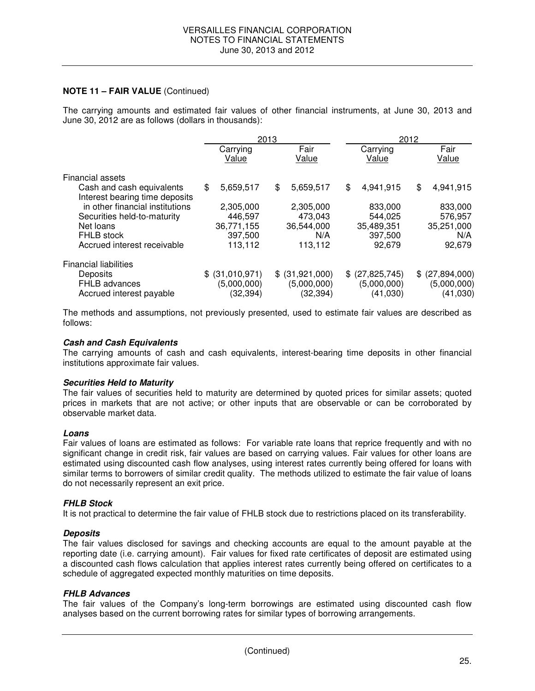#### **NOTE 11 – FAIR VALUE** (Continued)

The carrying amounts and estimated fair values of other financial instruments, at June 30, 2013 and June 30, 2012 are as follows (dollars in thousands):

|                                                             | 2013              |                 | 2012              |                 |
|-------------------------------------------------------------|-------------------|-----------------|-------------------|-----------------|
|                                                             | Carrying<br>Value | Fair<br>Value   | Carrying<br>Value | Fair<br>Value   |
| Financial assets                                            |                   |                 |                   |                 |
| Cash and cash equivalents<br>Interest bearing time deposits | \$<br>5,659,517   | 5,659,517<br>\$ | \$<br>4,941,915   | \$<br>4,941,915 |
| in other financial institutions                             | 2,305,000         | 2,305,000       | 833,000           | 833,000         |
| Securities held-to-maturity                                 | 446.597           | 473,043         | 544,025           | 576,957         |
| Net loans                                                   | 36,771,155        | 36,544,000      | 35,489,351        | 35,251,000      |
| FHLB stock                                                  | 397,500           | N/A             | 397,500           | N/A             |
| Accrued interest receivable                                 | 113,112           | 113,112         | 92,679            | 92,679          |
| <b>Financial liabilities</b>                                |                   |                 |                   |                 |
| Deposits                                                    | \$ (31,010,971)   | \$ (31,921,000) | \$ (27,825,745)   | \$ (27,894,000) |
| FHLB advances                                               | (5,000,000)       | (5,000,000)     | (5,000,000)       | (5,000,000)     |
| Accrued interest payable                                    | (32, 394)         | (32, 394)       | (41,030)          | (41,030)        |

The methods and assumptions, not previously presented, used to estimate fair values are described as follows:

#### **Cash and Cash Equivalents**

The carrying amounts of cash and cash equivalents, interest-bearing time deposits in other financial institutions approximate fair values.

#### **Securities Held to Maturity**

The fair values of securities held to maturity are determined by quoted prices for similar assets; quoted prices in markets that are not active; or other inputs that are observable or can be corroborated by observable market data.

#### **Loans**

Fair values of loans are estimated as follows: For variable rate loans that reprice frequently and with no significant change in credit risk, fair values are based on carrying values. Fair values for other loans are estimated using discounted cash flow analyses, using interest rates currently being offered for loans with similar terms to borrowers of similar credit quality. The methods utilized to estimate the fair value of loans do not necessarily represent an exit price.

#### **FHLB Stock**

It is not practical to determine the fair value of FHLB stock due to restrictions placed on its transferability.

#### **Deposits**

The fair values disclosed for savings and checking accounts are equal to the amount payable at the reporting date (i.e. carrying amount). Fair values for fixed rate certificates of deposit are estimated using a discounted cash flows calculation that applies interest rates currently being offered on certificates to a schedule of aggregated expected monthly maturities on time deposits.

#### **FHLB Advances**

The fair values of the Company's long-term borrowings are estimated using discounted cash flow analyses based on the current borrowing rates for similar types of borrowing arrangements.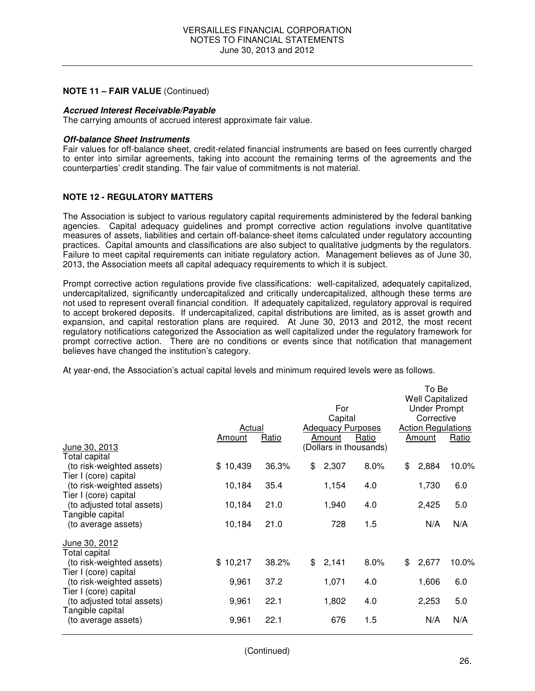#### **NOTE 11 – FAIR VALUE** (Continued)

#### **Accrued Interest Receivable/Payable**

The carrying amounts of accrued interest approximate fair value.

#### **Off-balance Sheet Instruments**

Fair values for off-balance sheet, credit-related financial instruments are based on fees currently charged to enter into similar agreements, taking into account the remaining terms of the agreements and the counterparties' credit standing. The fair value of commitments is not material.

#### **NOTE 12 - REGULATORY MATTERS**

The Association is subject to various regulatory capital requirements administered by the federal banking agencies. Capital adequacy guidelines and prompt corrective action regulations involve quantitative measures of assets, liabilities and certain off-balance-sheet items calculated under regulatory accounting practices. Capital amounts and classifications are also subject to qualitative judgments by the regulators. Failure to meet capital requirements can initiate regulatory action. Management believes as of June 30, 2013, the Association meets all capital adequacy requirements to which it is subject.

Prompt corrective action regulations provide five classifications: well-capitalized, adequately capitalized, undercapitalized, significantly undercapitalized and critically undercapitalized, although these terms are not used to represent overall financial condition. If adequately capitalized, regulatory approval is required to accept brokered deposits. If undercapitalized, capital distributions are limited, as is asset growth and expansion, and capital restoration plans are required. At June 30, 2013 and 2012, the most recent regulatory notifications categorized the Association as well capitalized under the regulatory framework for prompt corrective action. There are no conditions or events since that notification that management believes have changed the institution's category.

At year-end, the Association's actual capital levels and minimum required levels were as follows.

| June 30, 2013                                                       | Actual<br>Ratio<br>Amount |       | For<br>Capital<br>Amount | <b>Adequacy Purposes</b><br>Ratio<br>(Dollars in thousands) | Amount | To Be<br><b>Well Capitalized</b><br><b>Under Prompt</b><br>Corrective<br><b>Action Regulations</b><br><b>Ratio</b> |       |
|---------------------------------------------------------------------|---------------------------|-------|--------------------------|-------------------------------------------------------------|--------|--------------------------------------------------------------------------------------------------------------------|-------|
| Total capital<br>(to risk-weighted assets)<br>Tier I (core) capital | \$10,439                  | 36.3% | \$<br>2,307              | 8.0%                                                        | \$     | 2,884                                                                                                              | 10.0% |
| (to risk-weighted assets)<br>Tier I (core) capital                  | 10,184                    | 35.4  | 1,154                    | 4.0                                                         |        | 1,730                                                                                                              | 6.0   |
| (to adjusted total assets)<br>Tangible capital                      | 10,184                    | 21.0  | 1,940                    | 4.0                                                         |        | 2,425                                                                                                              | 5.0   |
| (to average assets)                                                 | 10,184                    | 21.0  | 728                      | 1.5                                                         |        | N/A                                                                                                                | N/A   |
| June 30, 2012<br>Total capital                                      |                           |       |                          |                                                             |        |                                                                                                                    |       |
| (to risk-weighted assets)<br>Tier I (core) capital                  | \$10,217                  | 38.2% | \$<br>2,141              | 8.0%                                                        | \$     | 2,677                                                                                                              | 10.0% |
| (to risk-weighted assets)<br>Tier I (core) capital                  | 9,961                     | 37.2  | 1,071                    | 4.0                                                         |        | 1,606                                                                                                              | 6.0   |
| (to adjusted total assets)<br>Tangible capital                      | 9,961                     | 22.1  | 1,802                    | 4.0                                                         |        | 2,253                                                                                                              | 5.0   |
| (to average assets)                                                 | 9,961                     | 22.1  | 676                      | 1.5                                                         |        | N/A                                                                                                                | N/A   |